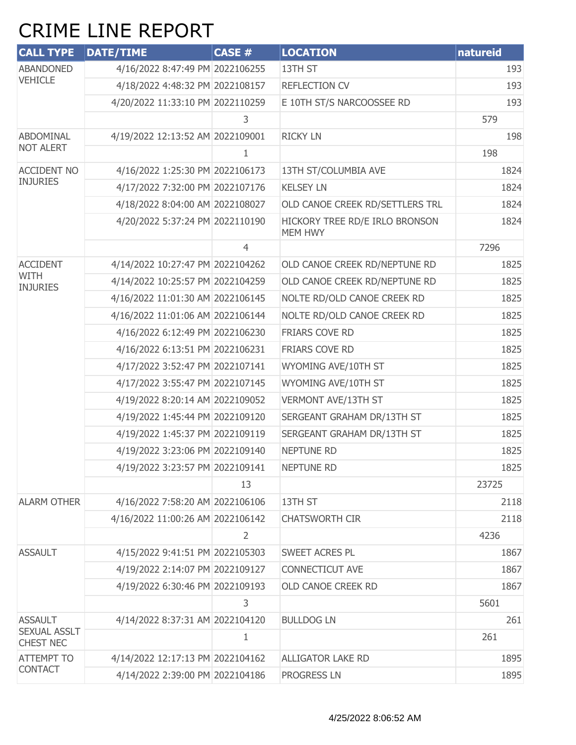## CRIME LINE REPORT

| <b>CALL TYPE</b>                        | <b>DATE/TIME</b>                 | CASE #         | <b>LOCATION</b>                           | natureid |
|-----------------------------------------|----------------------------------|----------------|-------------------------------------------|----------|
| <b>ABANDONED</b><br><b>VEHICLE</b>      | 4/16/2022 8:47:49 PM 2022106255  |                | 13TH ST                                   | 193      |
|                                         | 4/18/2022 4:48:32 PM 2022108157  |                | <b>REFLECTION CV</b>                      | 193      |
|                                         | 4/20/2022 11:33:10 PM 2022110259 |                | E 10TH ST/S NARCOOSSEE RD                 | 193      |
|                                         |                                  | 3              |                                           | 579      |
| ABDOMINAL                               | 4/19/2022 12:13:52 AM 2022109001 |                | <b>RICKY LN</b>                           | 198      |
| <b>NOT ALERT</b>                        |                                  | 1.             |                                           | 198      |
| <b>ACCIDENT NO</b>                      | 4/16/2022 1:25:30 PM 2022106173  |                | 13TH ST/COLUMBIA AVE                      | 1824     |
| <b>INJURIES</b>                         | 4/17/2022 7:32:00 PM 2022107176  |                | <b>KELSEY LN</b>                          | 1824     |
|                                         | 4/18/2022 8:04:00 AM 2022108027  |                | OLD CANOE CREEK RD/SETTLERS TRL           | 1824     |
|                                         | 4/20/2022 5:37:24 PM 2022110190  |                | HICKORY TREE RD/E IRLO BRONSON<br>MEM HWY | 1824     |
|                                         |                                  | $\overline{4}$ |                                           | 7296     |
| <b>ACCIDENT</b>                         | 4/14/2022 10:27:47 PM 2022104262 |                | OLD CANOE CREEK RD/NEPTUNE RD             | 1825     |
| WITH<br><b>INJURIES</b>                 | 4/14/2022 10:25:57 PM 2022104259 |                | OLD CANOE CREEK RD/NEPTUNE RD             | 1825     |
|                                         | 4/16/2022 11:01:30 AM 2022106145 |                | NOLTE RD/OLD CANOE CREEK RD               | 1825     |
|                                         | 4/16/2022 11:01:06 AM 2022106144 |                | NOLTE RD/OLD CANOE CREEK RD               | 1825     |
|                                         | 4/16/2022 6:12:49 PM 2022106230  |                | FRIARS COVE RD                            | 1825     |
|                                         | 4/16/2022 6:13:51 PM 2022106231  |                | FRIARS COVE RD                            | 1825     |
|                                         | 4/17/2022 3:52:47 PM 2022107141  |                | WYOMING AVE/10TH ST                       | 1825     |
|                                         | 4/17/2022 3:55:47 PM 2022107145  |                | WYOMING AVE/10TH ST                       | 1825     |
|                                         | 4/19/2022 8:20:14 AM 2022109052  |                | VERMONT AVE/13TH ST                       | 1825     |
|                                         | 4/19/2022 1:45:44 PM 2022109120  |                | SERGEANT GRAHAM DR/13TH ST                | 1825     |
|                                         | 4/19/2022 1:45:37 PM 2022109119  |                | SERGEANT GRAHAM DR/13TH ST                | 1825     |
|                                         | 4/19/2022 3:23:06 PM 2022109140  |                | <b>NEPTUNE RD</b>                         | 1825     |
|                                         | 4/19/2022 3:23:57 PM 2022109141  |                | NEPTUNE RD                                | 1825     |
|                                         |                                  | 13             |                                           | 23725    |
| <b>ALARM OTHER</b>                      | 4/16/2022 7:58:20 AM 2022106106  |                | 13TH ST                                   | 2118     |
|                                         | 4/16/2022 11:00:26 AM 2022106142 |                | <b>CHATSWORTH CIR</b>                     | 2118     |
|                                         |                                  | $\overline{2}$ |                                           | 4236     |
| <b>ASSAULT</b>                          | 4/15/2022 9:41:51 PM 2022105303  |                | SWEET ACRES PL                            | 1867     |
|                                         | 4/19/2022 2:14:07 PM 2022109127  |                | <b>CONNECTICUT AVE</b>                    | 1867     |
|                                         | 4/19/2022 6:30:46 PM 2022109193  |                | OLD CANOE CREEK RD                        | 1867     |
|                                         |                                  | 3              |                                           | 5601     |
| <b>ASSAULT</b>                          | 4/14/2022 8:37:31 AM 2022104120  |                | <b>BULLDOG LN</b>                         | 261      |
| <b>SEXUAL ASSLT</b><br><b>CHEST NEC</b> |                                  | $\mathbf{1}$   |                                           | 261      |
| <b>ATTEMPT TO</b>                       | 4/14/2022 12:17:13 PM 2022104162 |                | <b>ALLIGATOR LAKE RD</b>                  | 1895     |
| <b>CONTACT</b>                          | 4/14/2022 2:39:00 PM 2022104186  |                | <b>PROGRESS LN</b>                        | 1895     |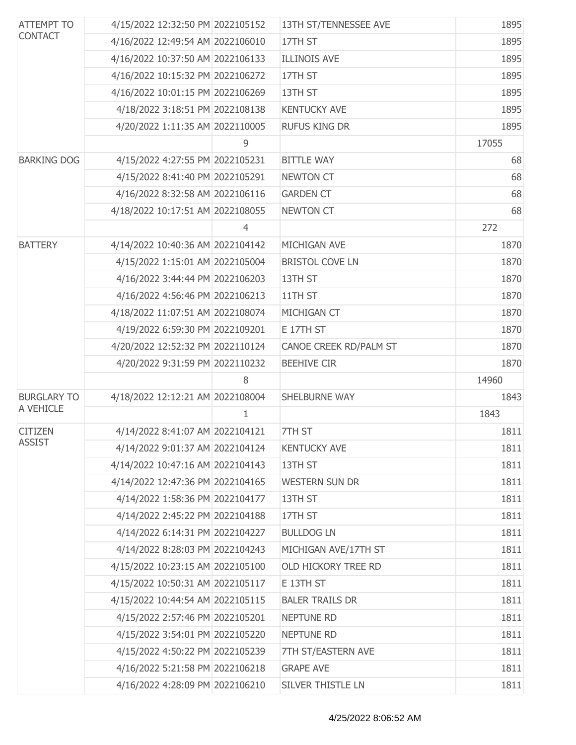| <b>ATTEMPT TO</b><br><b>CONTACT</b> | 4/15/2022 12:32:50 PM 2022105152 |                | 13TH ST/TENNESSEE AVE  | 1895  |
|-------------------------------------|----------------------------------|----------------|------------------------|-------|
|                                     | 4/16/2022 12:49:54 AM 2022106010 |                | 17TH ST                | 1895  |
|                                     | 4/16/2022 10:37:50 AM 2022106133 |                | <b>ILLINOIS AVE</b>    | 1895  |
|                                     | 4/16/2022 10:15:32 PM 2022106272 |                | 17TH ST                | 1895  |
|                                     | 4/16/2022 10:01:15 PM 2022106269 |                | 13TH ST                | 1895  |
|                                     | 4/18/2022 3:18:51 PM 2022108138  |                | <b>KENTUCKY AVE</b>    | 1895  |
|                                     | 4/20/2022 1:11:35 AM 2022110005  |                | <b>RUFUS KING DR</b>   | 1895  |
|                                     |                                  | 9              |                        | 17055 |
| <b>BARKING DOG</b>                  | 4/15/2022 4:27:55 PM 2022105231  |                | <b>BITTLE WAY</b>      | 68    |
|                                     | 4/15/2022 8:41:40 PM 2022105291  |                | <b>NEWTON CT</b>       | 68    |
|                                     | 4/16/2022 8:32:58 AM 2022106116  |                | <b>GARDEN CT</b>       | 68    |
|                                     | 4/18/2022 10:17:51 AM 2022108055 |                | <b>NEWTON CT</b>       | 68    |
|                                     |                                  | $\overline{4}$ |                        | 272   |
| <b>BATTERY</b>                      | 4/14/2022 10:40:36 AM 2022104142 |                | MICHIGAN AVE           | 1870  |
|                                     | 4/15/2022 1:15:01 AM 2022105004  |                | <b>BRISTOL COVE LN</b> | 1870  |
|                                     | 4/16/2022 3:44:44 PM 2022106203  |                | 13TH ST                | 1870  |
|                                     | 4/16/2022 4:56:46 PM 2022106213  |                | 11TH ST                | 1870  |
|                                     | 4/18/2022 11:07:51 AM 2022108074 |                | MICHIGAN CT            | 1870  |
|                                     | 4/19/2022 6:59:30 PM 2022109201  |                | E 17TH ST              | 1870  |
|                                     | 4/20/2022 12:52:32 PM 2022110124 |                | CANOE CREEK RD/PALM ST | 1870  |
|                                     | 4/20/2022 9:31:59 PM 2022110232  |                | <b>BEEHIVE CIR</b>     | 1870  |
|                                     |                                  | 8              |                        | 14960 |
| <b>BURGLARY TO</b>                  | 4/18/2022 12:12:21 AM 2022108004 |                | <b>SHELBURNE WAY</b>   | 1843  |
| A VEHICLE                           |                                  | 1              |                        | 1843  |
| <b>CITIZEN</b>                      | 4/14/2022 8:41:07 AM 2022104121  |                | 7TH ST                 | 1811  |
| <b>ASSIST</b>                       | 4/14/2022 9:01:37 AM 2022104124  |                | <b>KENTUCKY AVE</b>    | 1811  |
|                                     | 4/14/2022 10:47:16 AM 2022104143 |                | 13TH ST                | 1811  |
|                                     | 4/14/2022 12:47:36 PM 2022104165 |                | <b>WESTERN SUN DR</b>  | 1811  |
|                                     | 4/14/2022 1:58:36 PM 2022104177  |                | 13TH ST                | 1811  |
|                                     | 4/14/2022 2:45:22 PM 2022104188  |                | 17TH ST                | 1811  |
|                                     | 4/14/2022 6:14:31 PM 2022104227  |                | <b>BULLDOG LN</b>      | 1811  |
|                                     | 4/14/2022 8:28:03 PM 2022104243  |                | MICHIGAN AVE/17TH ST   | 1811  |
|                                     | 4/15/2022 10:23:15 AM 2022105100 |                | OLD HICKORY TREE RD    | 1811  |
|                                     | 4/15/2022 10:50:31 AM 2022105117 |                | E 13TH ST              | 1811  |
|                                     | 4/15/2022 10:44:54 AM 2022105115 |                | <b>BALER TRAILS DR</b> | 1811  |
|                                     | 4/15/2022 2:57:46 PM 2022105201  |                | <b>NEPTUNE RD</b>      | 1811  |
|                                     | 4/15/2022 3:54:01 PM 2022105220  |                | <b>NEPTUNE RD</b>      | 1811  |
|                                     | 4/15/2022 4:50:22 PM 2022105239  |                | 7TH ST/EASTERN AVE     | 1811  |
|                                     | 4/16/2022 5:21:58 PM 2022106218  |                | <b>GRAPE AVE</b>       | 1811  |
|                                     | 4/16/2022 4:28:09 PM 2022106210  |                | SILVER THISTLE LN      | 1811  |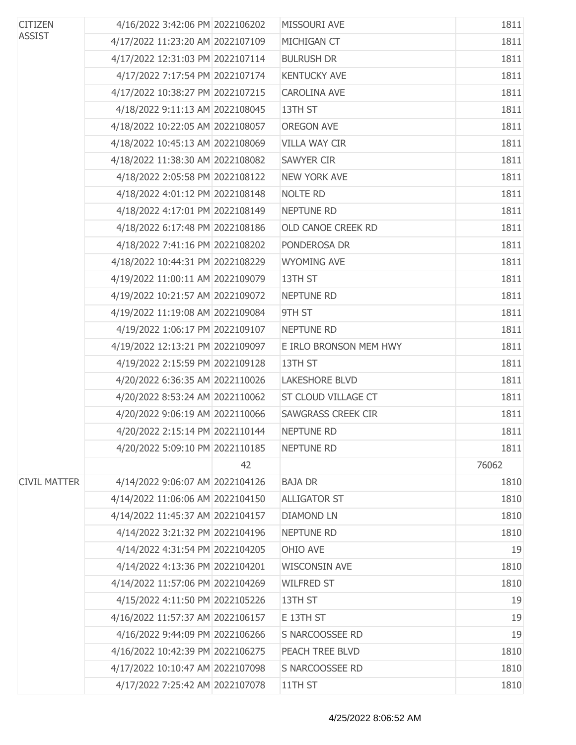| <b>CITIZEN</b>      | 4/16/2022 3:42:06 PM 2022106202  |    | MISSOURI AVE              | 1811  |
|---------------------|----------------------------------|----|---------------------------|-------|
| <b>ASSIST</b>       | 4/17/2022 11:23:20 AM 2022107109 |    | MICHIGAN CT               | 1811  |
|                     | 4/17/2022 12:31:03 PM 2022107114 |    | <b>BULRUSH DR</b>         | 1811  |
|                     | 4/17/2022 7:17:54 PM 2022107174  |    | <b>KENTUCKY AVE</b>       | 1811  |
|                     | 4/17/2022 10:38:27 PM 2022107215 |    | <b>CAROLINA AVE</b>       | 1811  |
|                     | 4/18/2022 9:11:13 AM 2022108045  |    | 13TH ST                   | 1811  |
|                     | 4/18/2022 10:22:05 AM 2022108057 |    | <b>OREGON AVE</b>         | 1811  |
|                     | 4/18/2022 10:45:13 AM 2022108069 |    | <b>VILLA WAY CIR</b>      | 1811  |
|                     | 4/18/2022 11:38:30 AM 2022108082 |    | <b>SAWYER CIR</b>         | 1811  |
|                     | 4/18/2022 2:05:58 PM 2022108122  |    | <b>NEW YORK AVE</b>       | 1811  |
|                     | 4/18/2022 4:01:12 PM 2022108148  |    | <b>NOLTE RD</b>           | 1811  |
|                     | 4/18/2022 4:17:01 PM 2022108149  |    | NEPTUNE RD                | 1811  |
|                     | 4/18/2022 6:17:48 PM 2022108186  |    | OLD CANOE CREEK RD        | 1811  |
|                     | 4/18/2022 7:41:16 PM 2022108202  |    | PONDEROSA DR              | 1811  |
|                     | 4/18/2022 10:44:31 PM 2022108229 |    | <b>WYOMING AVE</b>        | 1811  |
|                     | 4/19/2022 11:00:11 AM 2022109079 |    | 13TH ST                   | 1811  |
|                     | 4/19/2022 10:21:57 AM 2022109072 |    | <b>NEPTUNE RD</b>         | 1811  |
|                     | 4/19/2022 11:19:08 AM 2022109084 |    | 9TH ST                    | 1811  |
|                     | 4/19/2022 1:06:17 PM 2022109107  |    | NEPTUNE RD                | 1811  |
|                     | 4/19/2022 12:13:21 PM 2022109097 |    | E IRLO BRONSON MEM HWY    | 1811  |
|                     | 4/19/2022 2:15:59 PM 2022109128  |    | 13TH ST                   | 1811  |
|                     | 4/20/2022 6:36:35 AM 2022110026  |    | <b>LAKESHORE BLVD</b>     | 1811  |
|                     | 4/20/2022 8:53:24 AM 2022110062  |    | ST CLOUD VILLAGE CT       | 1811  |
|                     | 4/20/2022 9:06:19 AM 2022110066  |    | <b>SAWGRASS CREEK CIR</b> | 1811  |
|                     | 4/20/2022 2:15:14 PM 2022110144  |    | NEPTUNE RD                | 1811  |
|                     | 4/20/2022 5:09:10 PM 2022110185  |    | <b>NEPTUNE RD</b>         | 1811  |
|                     |                                  | 42 |                           | 76062 |
| <b>CIVIL MATTER</b> | 4/14/2022 9:06:07 AM 2022104126  |    | <b>BAJA DR</b>            | 1810  |
|                     | 4/14/2022 11:06:06 AM 2022104150 |    | <b>ALLIGATOR ST</b>       | 1810  |
|                     | 4/14/2022 11:45:37 AM 2022104157 |    | <b>DIAMOND LN</b>         | 1810  |
|                     | 4/14/2022 3:21:32 PM 2022104196  |    | <b>NEPTUNE RD</b>         | 1810  |
|                     | 4/14/2022 4:31:54 PM 2022104205  |    | OHIO AVE                  | 19    |
|                     | 4/14/2022 4:13:36 PM 2022104201  |    | <b>WISCONSIN AVE</b>      | 1810  |
|                     | 4/14/2022 11:57:06 PM 2022104269 |    | <b>WILFRED ST</b>         | 1810  |
|                     | 4/15/2022 4:11:50 PM 2022105226  |    | 13TH ST                   | 19    |
|                     | 4/16/2022 11:57:37 AM 2022106157 |    | E 13TH ST                 | 19    |
|                     | 4/16/2022 9:44:09 PM 2022106266  |    | S NARCOOSSEE RD           | 19    |
|                     | 4/16/2022 10:42:39 PM 2022106275 |    | PEACH TREE BLVD           | 1810  |
|                     | 4/17/2022 10:10:47 AM 2022107098 |    | S NARCOOSSEE RD           | 1810  |
|                     | 4/17/2022 7:25:42 AM 2022107078  |    | 11TH ST                   | 1810  |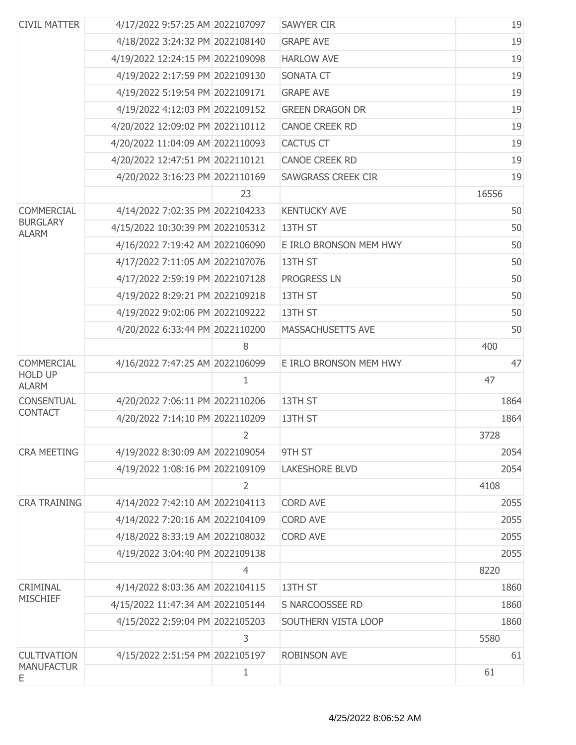| <b>CIVIL MATTER</b>             | 4/17/2022 9:57:25 AM 2022107097  |                | <b>SAWYER CIR</b>         | 19    |
|---------------------------------|----------------------------------|----------------|---------------------------|-------|
|                                 | 4/18/2022 3:24:32 PM 2022108140  |                | <b>GRAPE AVE</b>          | 19    |
|                                 | 4/19/2022 12:24:15 PM 2022109098 |                | <b>HARLOW AVE</b>         | 19    |
|                                 | 4/19/2022 2:17:59 PM 2022109130  |                | <b>SONATA CT</b>          | 19    |
|                                 | 4/19/2022 5:19:54 PM 2022109171  |                | <b>GRAPE AVE</b>          | 19    |
|                                 | 4/19/2022 4:12:03 PM 2022109152  |                | <b>GREEN DRAGON DR</b>    | 19    |
|                                 | 4/20/2022 12:09:02 PM 2022110112 |                | <b>CANOE CREEK RD</b>     | 19    |
|                                 | 4/20/2022 11:04:09 AM 2022110093 |                | <b>CACTUS CT</b>          | 19    |
|                                 | 4/20/2022 12:47:51 PM 2022110121 |                | <b>CANOE CREEK RD</b>     | 19    |
|                                 | 4/20/2022 3:16:23 PM 2022110169  |                | <b>SAWGRASS CREEK CIR</b> | 19    |
|                                 |                                  | 23             |                           | 16556 |
| <b>COMMERCIAL</b>               | 4/14/2022 7:02:35 PM 2022104233  |                | <b>KENTUCKY AVE</b>       | 50    |
| <b>BURGLARY</b><br><b>ALARM</b> | 4/15/2022 10:30:39 PM 2022105312 |                | 13TH ST                   | 50    |
|                                 | 4/16/2022 7:19:42 AM 2022106090  |                | E IRLO BRONSON MEM HWY    | 50    |
|                                 | 4/17/2022 7:11:05 AM 2022107076  |                | 13TH ST                   | 50    |
|                                 | 4/17/2022 2:59:19 PM 2022107128  |                | <b>PROGRESS LN</b>        | 50    |
|                                 | 4/19/2022 8:29:21 PM 2022109218  |                | 13TH ST                   | 50    |
|                                 | 4/19/2022 9:02:06 PM 2022109222  |                | 13TH ST                   | 50    |
|                                 | 4/20/2022 6:33:44 PM 2022110200  |                | MASSACHUSETTS AVE         | 50    |
|                                 |                                  | 8              |                           | 400   |
| <b>COMMERCIAL</b>               | 4/16/2022 7:47:25 AM 2022106099  |                | E IRLO BRONSON MEM HWY    | 47    |
| <b>HOLD UP</b><br><b>ALARM</b>  |                                  | 1              |                           | 47    |
| <b>CONSENTUAL</b>               | 4/20/2022 7:06:11 PM 2022110206  |                | 13TH ST                   | 1864  |
| <b>CONTACT</b>                  | 4/20/2022 7:14:10 PM 2022110209  |                | 13TH ST                   | 1864  |
|                                 |                                  | $\overline{2}$ |                           | 3728  |
| <b>CRA MEETING</b>              | 4/19/2022 8:30:09 AM 2022109054  |                | 9TH ST                    | 2054  |
|                                 | 4/19/2022 1:08:16 PM 2022109109  |                | <b>LAKESHORE BLVD</b>     | 2054  |
|                                 |                                  | $\overline{2}$ |                           | 4108  |
| <b>CRA TRAINING</b>             | 4/14/2022 7:42:10 AM 2022104113  |                | <b>CORD AVE</b>           | 2055  |
|                                 | 4/14/2022 7:20:16 AM 2022104109  |                | <b>CORD AVE</b>           | 2055  |
|                                 | 4/18/2022 8:33:19 AM 2022108032  |                | <b>CORD AVE</b>           | 2055  |
|                                 | 4/19/2022 3:04:40 PM 2022109138  |                |                           | 2055  |
|                                 |                                  | $\overline{4}$ |                           | 8220  |
| CRIMINAL                        | 4/14/2022 8:03:36 AM 2022104115  |                | 13TH ST                   | 1860  |
| <b>MISCHIEF</b>                 | 4/15/2022 11:47:34 AM 2022105144 |                | S NARCOOSSEE RD           | 1860  |
|                                 | 4/15/2022 2:59:04 PM 2022105203  |                | SOUTHERN VISTA LOOP       | 1860  |
|                                 |                                  | 3              |                           | 5580  |
| <b>CULTIVATION</b>              | 4/15/2022 2:51:54 PM 2022105197  |                | <b>ROBINSON AVE</b>       | 61    |
| <b>MANUFACTUR</b><br>Ε          |                                  | $\mathbf{1}$   |                           | 61    |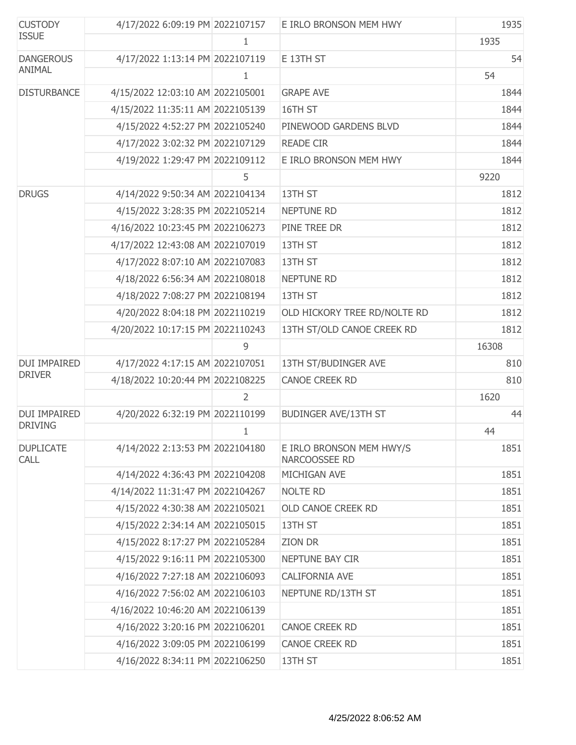| <b>CUSTODY</b>                  | 4/17/2022 6:09:19 PM 2022107157  |   | E IRLO BRONSON MEM HWY                    | 1935  |
|---------------------------------|----------------------------------|---|-------------------------------------------|-------|
| <b>ISSUE</b>                    |                                  | 1 |                                           | 1935  |
| <b>DANGEROUS</b>                | 4/17/2022 1:13:14 PM 2022107119  |   | E 13TH ST                                 | 54    |
| ANIMAL                          |                                  | 1 |                                           | 54    |
| <b>DISTURBANCE</b>              | 4/15/2022 12:03:10 AM 2022105001 |   | <b>GRAPE AVE</b>                          | 1844  |
|                                 | 4/15/2022 11:35:11 AM 2022105139 |   | 16TH ST                                   | 1844  |
|                                 | 4/15/2022 4:52:27 PM 2022105240  |   | PINEWOOD GARDENS BLVD                     | 1844  |
|                                 | 4/17/2022 3:02:32 PM 2022107129  |   | <b>READE CIR</b>                          | 1844  |
|                                 | 4/19/2022 1:29:47 PM 2022109112  |   | E IRLO BRONSON MEM HWY                    | 1844  |
|                                 |                                  | 5 |                                           | 9220  |
| <b>DRUGS</b>                    | 4/14/2022 9:50:34 AM 2022104134  |   | 13TH ST                                   | 1812  |
|                                 | 4/15/2022 3:28:35 PM 2022105214  |   | <b>NEPTUNE RD</b>                         | 1812  |
|                                 | 4/16/2022 10:23:45 PM 2022106273 |   | PINE TREE DR                              | 1812  |
|                                 | 4/17/2022 12:43:08 AM 2022107019 |   | 13TH ST                                   | 1812  |
|                                 | 4/17/2022 8:07:10 AM 2022107083  |   | 13TH ST                                   | 1812  |
|                                 | 4/18/2022 6:56:34 AM 2022108018  |   | <b>NEPTUNE RD</b>                         | 1812  |
|                                 | 4/18/2022 7:08:27 PM 2022108194  |   | 13TH ST                                   | 1812  |
|                                 | 4/20/2022 8:04:18 PM 2022110219  |   | OLD HICKORY TREE RD/NOLTE RD              | 1812  |
|                                 | 4/20/2022 10:17:15 PM 2022110243 |   | 13TH ST/OLD CANOE CREEK RD                | 1812  |
|                                 |                                  | 9 |                                           | 16308 |
| <b>DUI IMPAIRED</b>             | 4/17/2022 4:17:15 AM 2022107051  |   | 13TH ST/BUDINGER AVE                      | 810   |
| <b>DRIVER</b>                   | 4/18/2022 10:20:44 PM 2022108225 |   | <b>CANOE CREEK RD</b>                     | 810   |
|                                 |                                  | 2 |                                           | 1620  |
| DUI IMPAIRED                    | 4/20/2022 6:32:19 PM 2022110199  |   | <b>BUDINGER AVE/13TH ST</b>               | 44    |
| <b>DRIVING</b>                  |                                  | 1 |                                           | 44    |
| <b>DUPLICATE</b><br><b>CALL</b> | 4/14/2022 2:13:53 PM 2022104180  |   | E IRLO BRONSON MEM HWY/S<br>NARCOOSSEE RD | 1851  |
|                                 | 4/14/2022 4:36:43 PM 2022104208  |   | MICHIGAN AVE                              | 1851  |
|                                 | 4/14/2022 11:31:47 PM 2022104267 |   | <b>NOLTE RD</b>                           | 1851  |
|                                 | 4/15/2022 4:30:38 AM 2022105021  |   | OLD CANOE CREEK RD                        | 1851  |
|                                 | 4/15/2022 2:34:14 AM 2022105015  |   | 13TH ST                                   | 1851  |
|                                 | 4/15/2022 8:17:27 PM 2022105284  |   | ZION DR                                   | 1851  |
|                                 | 4/15/2022 9:16:11 PM 2022105300  |   | NEPTUNE BAY CIR                           | 1851  |
|                                 | 4/16/2022 7:27:18 AM 2022106093  |   | CALIFORNIA AVE                            | 1851  |
|                                 | 4/16/2022 7:56:02 AM 2022106103  |   | NEPTUNE RD/13TH ST                        | 1851  |
|                                 | 4/16/2022 10:46:20 AM 2022106139 |   |                                           | 1851  |
|                                 | 4/16/2022 3:20:16 PM 2022106201  |   | CANOE CREEK RD                            | 1851  |
|                                 | 4/16/2022 3:09:05 PM 2022106199  |   | CANOE CREEK RD                            | 1851  |
|                                 | 4/16/2022 8:34:11 PM 2022106250  |   | 13TH ST                                   | 1851  |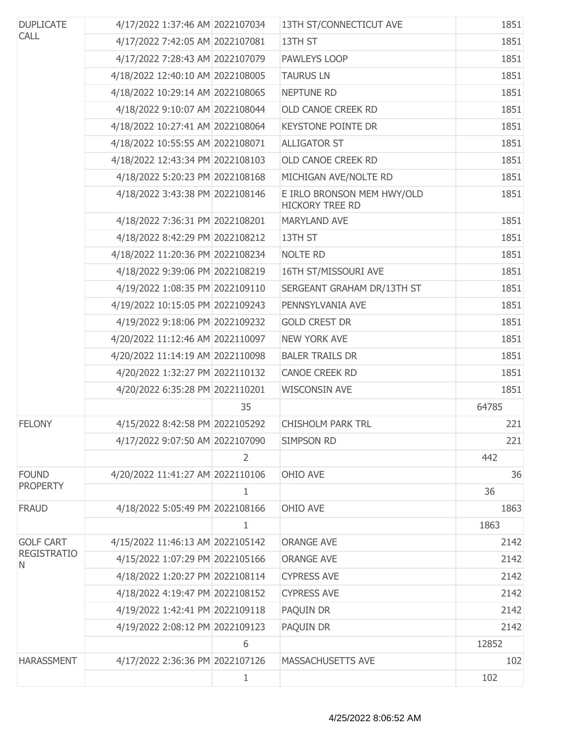| <b>DUPLICATE</b>        | 4/17/2022 1:37:46 AM 2022107034  |                | 13TH ST/CONNECTICUT AVE                              | 1851  |
|-------------------------|----------------------------------|----------------|------------------------------------------------------|-------|
| <b>CALL</b>             | 4/17/2022 7:42:05 AM 2022107081  |                | 13TH ST                                              | 1851  |
|                         | 4/17/2022 7:28:43 AM 2022107079  |                | PAWLEYS LOOP                                         | 1851  |
|                         | 4/18/2022 12:40:10 AM 2022108005 |                | <b>TAURUS LN</b>                                     | 1851  |
|                         | 4/18/2022 10:29:14 AM 2022108065 |                | NEPTUNE RD                                           | 1851  |
|                         | 4/18/2022 9:10:07 AM 2022108044  |                | <b>OLD CANOE CREEK RD</b>                            | 1851  |
|                         | 4/18/2022 10:27:41 AM 2022108064 |                | <b>KEYSTONE POINTE DR</b>                            | 1851  |
|                         | 4/18/2022 10:55:55 AM 2022108071 |                | <b>ALLIGATOR ST</b>                                  | 1851  |
|                         | 4/18/2022 12:43:34 PM 2022108103 |                | OLD CANOE CREEK RD                                   | 1851  |
|                         | 4/18/2022 5:20:23 PM 2022108168  |                | MICHIGAN AVE/NOLTE RD                                | 1851  |
|                         | 4/18/2022 3:43:38 PM 2022108146  |                | E IRLO BRONSON MEM HWY/OLD<br><b>HICKORY TREE RD</b> | 1851  |
|                         | 4/18/2022 7:36:31 PM 2022108201  |                | <b>MARYLAND AVE</b>                                  | 1851  |
|                         | 4/18/2022 8:42:29 PM 2022108212  |                | 13TH ST                                              | 1851  |
|                         | 4/18/2022 11:20:36 PM 2022108234 |                | <b>NOLTE RD</b>                                      | 1851  |
|                         | 4/18/2022 9:39:06 PM 2022108219  |                | 16TH ST/MISSOURI AVE                                 | 1851  |
|                         | 4/19/2022 1:08:35 PM 2022109110  |                | SERGEANT GRAHAM DR/13TH ST                           | 1851  |
|                         | 4/19/2022 10:15:05 PM 2022109243 |                | PENNSYLVANIA AVE                                     | 1851  |
|                         | 4/19/2022 9:18:06 PM 2022109232  |                | <b>GOLD CREST DR</b>                                 | 1851  |
|                         | 4/20/2022 11:12:46 AM 2022110097 |                | <b>NEW YORK AVE</b>                                  | 1851  |
|                         | 4/20/2022 11:14:19 AM 2022110098 |                | <b>BALER TRAILS DR</b>                               | 1851  |
|                         | 4/20/2022 1:32:27 PM 2022110132  |                | <b>CANOE CREEK RD</b>                                | 1851  |
|                         | 4/20/2022 6:35:28 PM 2022110201  |                | <b>WISCONSIN AVE</b>                                 | 1851  |
|                         |                                  | 35             |                                                      | 64785 |
| <b>FELONY</b>           | 4/15/2022 8:42:58 PM 2022105292  |                | <b>CHISHOLM PARK TRL</b>                             | 221   |
|                         | 4/17/2022 9:07:50 AM 2022107090  |                | SIMPSON RD                                           | 221   |
|                         |                                  | $\overline{2}$ |                                                      | 442   |
| <b>FOUND</b>            | 4/20/2022 11:41:27 AM 2022110106 |                | OHIO AVE                                             | 36    |
| <b>PROPERTY</b>         |                                  | $\mathbf{1}$   |                                                      | 36    |
| <b>FRAUD</b>            | 4/18/2022 5:05:49 PM 2022108166  |                | OHIO AVE                                             | 1863  |
|                         |                                  | $\mathbf{1}$   |                                                      | 1863  |
| <b>GOLF CART</b>        | 4/15/2022 11:46:13 AM 2022105142 |                | <b>ORANGE AVE</b>                                    | 2142  |
| <b>REGISTRATIO</b><br>N | 4/15/2022 1:07:29 PM 2022105166  |                | <b>ORANGE AVE</b>                                    | 2142  |
|                         | 4/18/2022 1:20:27 PM 2022108114  |                | <b>CYPRESS AVE</b>                                   | 2142  |
|                         | 4/18/2022 4:19:47 PM 2022108152  |                | <b>CYPRESS AVE</b>                                   | 2142  |
|                         | 4/19/2022 1:42:41 PM 2022109118  |                | PAQUIN DR                                            | 2142  |
|                         | 4/19/2022 2:08:12 PM 2022109123  |                | PAQUIN DR                                            | 2142  |
|                         |                                  | 6              |                                                      | 12852 |
| <b>HARASSMENT</b>       | 4/17/2022 2:36:36 PM 2022107126  |                | MASSACHUSETTS AVE                                    | 102   |
|                         |                                  | $\mathbf{1}$   |                                                      | 102   |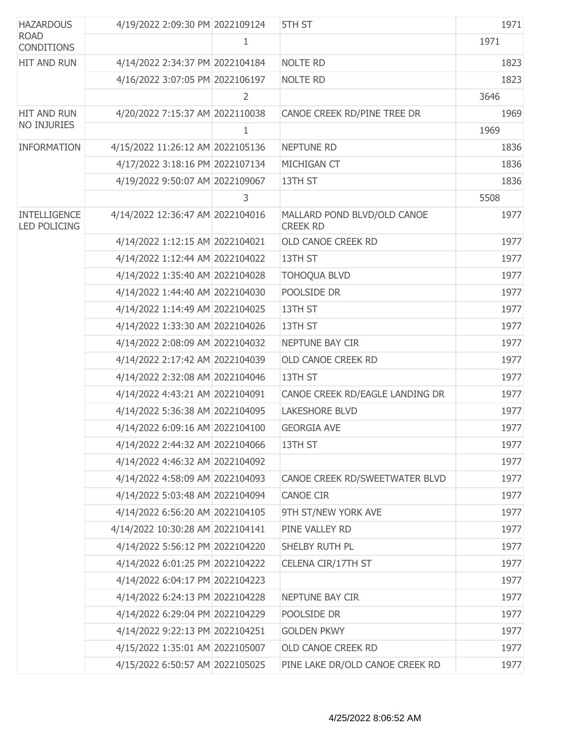| <b>HAZARDOUS</b>                           | 4/19/2022 2:09:30 PM 2022109124  |                | 5TH ST                                         | 1971 |
|--------------------------------------------|----------------------------------|----------------|------------------------------------------------|------|
| <b>ROAD</b><br><b>CONDITIONS</b>           |                                  | 1              |                                                | 1971 |
| HIT AND RUN                                | 4/14/2022 2:34:37 PM 2022104184  |                | <b>NOLTE RD</b>                                | 1823 |
|                                            | 4/16/2022 3:07:05 PM 2022106197  |                | <b>NOLTE RD</b>                                | 1823 |
|                                            |                                  | $\overline{2}$ |                                                | 3646 |
| <b>HIT AND RUN</b>                         | 4/20/2022 7:15:37 AM 2022110038  |                | CANOE CREEK RD/PINE TREE DR                    | 1969 |
| NO INJURIES                                |                                  | 1              |                                                | 1969 |
| <b>INFORMATION</b>                         | 4/15/2022 11:26:12 AM 2022105136 |                | NEPTUNE RD                                     | 1836 |
|                                            | 4/17/2022 3:18:16 PM 2022107134  |                | MICHIGAN CT                                    | 1836 |
|                                            | 4/19/2022 9:50:07 AM 2022109067  |                | 13TH ST                                        | 1836 |
|                                            |                                  | 3              |                                                | 5508 |
| <b>INTELLIGENCE</b><br><b>LED POLICING</b> | 4/14/2022 12:36:47 AM 2022104016 |                | MALLARD POND BLVD/OLD CANOE<br><b>CREEK RD</b> | 1977 |
|                                            | 4/14/2022 1:12:15 AM 2022104021  |                | OLD CANOE CREEK RD                             | 1977 |
|                                            | 4/14/2022 1:12:44 AM 2022104022  |                | 13TH ST                                        | 1977 |
|                                            | 4/14/2022 1:35:40 AM 2022104028  |                | <b>TOHOQUA BLVD</b>                            | 1977 |
|                                            | 4/14/2022 1:44:40 AM 2022104030  |                | POOLSIDE DR                                    | 1977 |
|                                            | 4/14/2022 1:14:49 AM 2022104025  |                | 13TH ST                                        | 1977 |
|                                            | 4/14/2022 1:33:30 AM 2022104026  |                | 13TH ST                                        | 1977 |
|                                            | 4/14/2022 2:08:09 AM 2022104032  |                | NEPTUNE BAY CIR                                | 1977 |
|                                            | 4/14/2022 2:17:42 AM 2022104039  |                | OLD CANOE CREEK RD                             | 1977 |
|                                            | 4/14/2022 2:32:08 AM 2022104046  |                | 13TH ST                                        | 1977 |
|                                            | 4/14/2022 4:43:21 AM 2022104091  |                | CANOE CREEK RD/EAGLE LANDING DR                | 1977 |
|                                            | 4/14/2022 5:36:38 AM 2022104095  |                | <b>LAKESHORE BLVD</b>                          | 1977 |
|                                            | 4/14/2022 6:09:16 AM 2022104100  |                | <b>GEORGIA AVE</b>                             | 1977 |
|                                            | 4/14/2022 2:44:32 AM 2022104066  |                | 13TH ST                                        | 1977 |
|                                            | 4/14/2022 4:46:32 AM 2022104092  |                |                                                | 1977 |
|                                            | 4/14/2022 4:58:09 AM 2022104093  |                | CANOE CREEK RD/SWEETWATER BLVD                 | 1977 |
|                                            | 4/14/2022 5:03:48 AM 2022104094  |                | <b>CANOE CIR</b>                               | 1977 |
|                                            | 4/14/2022 6:56:20 AM 2022104105  |                | 9TH ST/NEW YORK AVE                            | 1977 |
|                                            | 4/14/2022 10:30:28 AM 2022104141 |                | PINE VALLEY RD                                 | 1977 |
|                                            | 4/14/2022 5:56:12 PM 2022104220  |                | SHELBY RUTH PL                                 | 1977 |
|                                            | 4/14/2022 6:01:25 PM 2022104222  |                | CELENA CIR/17TH ST                             | 1977 |
|                                            | 4/14/2022 6:04:17 PM 2022104223  |                |                                                | 1977 |
|                                            | 4/14/2022 6:24:13 PM 2022104228  |                | NEPTUNE BAY CIR                                | 1977 |
|                                            | 4/14/2022 6:29:04 PM 2022104229  |                | POOLSIDE DR                                    | 1977 |
|                                            | 4/14/2022 9:22:13 PM 2022104251  |                | <b>GOLDEN PKWY</b>                             | 1977 |
|                                            | 4/15/2022 1:35:01 AM 2022105007  |                | OLD CANOE CREEK RD                             | 1977 |
|                                            | 4/15/2022 6:50:57 AM 2022105025  |                | PINE LAKE DR/OLD CANOE CREEK RD                | 1977 |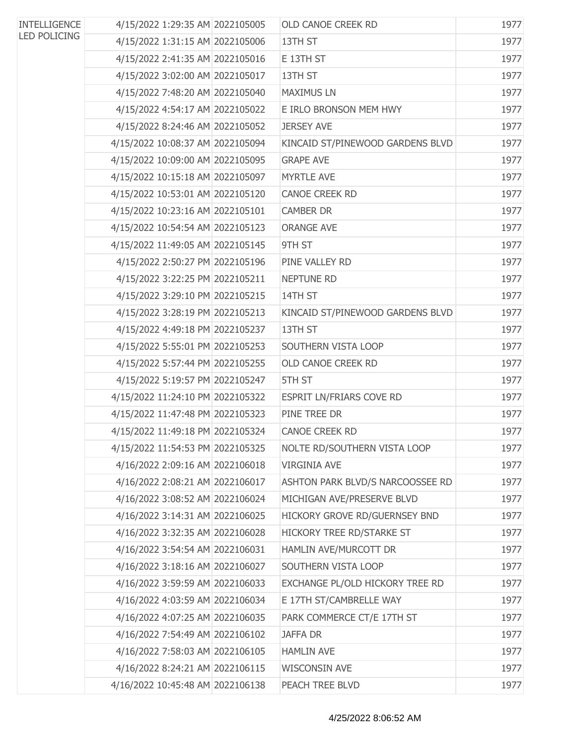| <b>INTELLIGENCE</b> | 4/15/2022 1:29:35 AM 2022105005  | <b>OLD CANOE CREEK RD</b>        | 1977 |
|---------------------|----------------------------------|----------------------------------|------|
| <b>LED POLICING</b> | 4/15/2022 1:31:15 AM 2022105006  | 13TH ST                          | 1977 |
|                     | 4/15/2022 2:41:35 AM 2022105016  | E 13TH ST                        | 1977 |
|                     | 4/15/2022 3:02:00 AM 2022105017  | 13TH ST                          | 1977 |
|                     | 4/15/2022 7:48:20 AM 2022105040  | <b>MAXIMUS LN</b>                | 1977 |
|                     | 4/15/2022 4:54:17 AM 2022105022  | E IRLO BRONSON MEM HWY           | 1977 |
|                     | 4/15/2022 8:24:46 AM 2022105052  | <b>JERSEY AVE</b>                | 1977 |
|                     | 4/15/2022 10:08:37 AM 2022105094 | KINCAID ST/PINEWOOD GARDENS BLVD | 1977 |
|                     | 4/15/2022 10:09:00 AM 2022105095 | <b>GRAPE AVE</b>                 | 1977 |
|                     | 4/15/2022 10:15:18 AM 2022105097 | <b>MYRTLE AVE</b>                | 1977 |
|                     | 4/15/2022 10:53:01 AM 2022105120 | <b>CANOE CREEK RD</b>            | 1977 |
|                     | 4/15/2022 10:23:16 AM 2022105101 | <b>CAMBER DR</b>                 | 1977 |
|                     | 4/15/2022 10:54:54 AM 2022105123 | <b>ORANGE AVE</b>                | 1977 |
|                     | 4/15/2022 11:49:05 AM 2022105145 | 9TH ST                           | 1977 |
|                     | 4/15/2022 2:50:27 PM 2022105196  | PINE VALLEY RD                   | 1977 |
|                     | 4/15/2022 3:22:25 PM 2022105211  | <b>NEPTUNE RD</b>                | 1977 |
|                     | 4/15/2022 3:29:10 PM 2022105215  | 14TH ST                          | 1977 |
|                     | 4/15/2022 3:28:19 PM 2022105213  | KINCAID ST/PINEWOOD GARDENS BLVD | 1977 |
|                     | 4/15/2022 4:49:18 PM 2022105237  | 13TH ST                          | 1977 |
|                     | 4/15/2022 5:55:01 PM 2022105253  | SOUTHERN VISTA LOOP              | 1977 |
|                     | 4/15/2022 5:57:44 PM 2022105255  | OLD CANOE CREEK RD               | 1977 |
|                     | 4/15/2022 5:19:57 PM 2022105247  | 5TH ST                           | 1977 |
|                     | 4/15/2022 11:24:10 PM 2022105322 | ESPRIT LN/FRIARS COVE RD         | 1977 |
|                     | 4/15/2022 11:47:48 PM 2022105323 | PINE TREE DR                     | 1977 |
|                     | 4/15/2022 11:49:18 PM 2022105324 | <b>CANOE CREEK RD</b>            | 1977 |
|                     | 4/15/2022 11:54:53 PM 2022105325 | NOLTE RD/SOUTHERN VISTA LOOP     | 1977 |
|                     | 4/16/2022 2:09:16 AM 2022106018  | <b>VIRGINIA AVE</b>              | 1977 |
|                     | 4/16/2022 2:08:21 AM 2022106017  | ASHTON PARK BLVD/S NARCOOSSEE RD | 1977 |
|                     | 4/16/2022 3:08:52 AM 2022106024  | MICHIGAN AVE/PRESERVE BLVD       | 1977 |
|                     | 4/16/2022 3:14:31 AM 2022106025  | HICKORY GROVE RD/GUERNSEY BND    | 1977 |
|                     | 4/16/2022 3:32:35 AM 2022106028  | HICKORY TREE RD/STARKE ST        | 1977 |
|                     | 4/16/2022 3:54:54 AM 2022106031  | HAMLIN AVE/MURCOTT DR            | 1977 |
|                     | 4/16/2022 3:18:16 AM 2022106027  | SOUTHERN VISTA LOOP              | 1977 |
|                     | 4/16/2022 3:59:59 AM 2022106033  | EXCHANGE PL/OLD HICKORY TREE RD  | 1977 |
|                     | 4/16/2022 4:03:59 AM 2022106034  | E 17TH ST/CAMBRELLE WAY          | 1977 |
|                     | 4/16/2022 4:07:25 AM 2022106035  | PARK COMMERCE CT/E 17TH ST       | 1977 |
|                     | 4/16/2022 7:54:49 AM 2022106102  | <b>JAFFA DR</b>                  | 1977 |
|                     | 4/16/2022 7:58:03 AM 2022106105  | <b>HAMLIN AVE</b>                | 1977 |
|                     | 4/16/2022 8:24:21 AM 2022106115  | <b>WISCONSIN AVE</b>             | 1977 |
|                     | 4/16/2022 10:45:48 AM 2022106138 | PEACH TREE BLVD                  | 1977 |
|                     |                                  |                                  |      |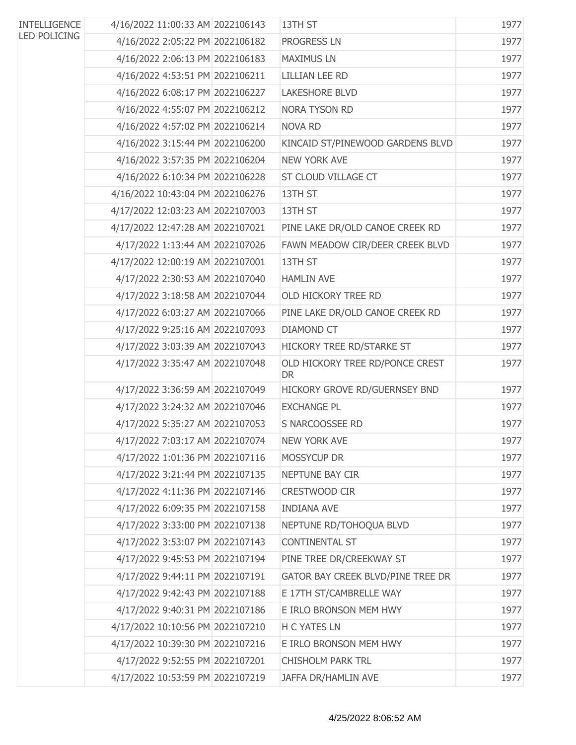| <b>INTELLIGENCE</b> | 4/16/2022 11:00:33 AM 2022106143 | 13TH ST                                      | 1977 |
|---------------------|----------------------------------|----------------------------------------------|------|
| <b>LED POLICING</b> | 4/16/2022 2:05:22 PM 2022106182  | <b>PROGRESS LN</b>                           | 1977 |
|                     | 4/16/2022 2:06:13 PM 2022106183  | <b>MAXIMUS LN</b>                            | 1977 |
|                     | 4/16/2022 4:53:51 PM 2022106211  | <b>LILLIAN LEE RD</b>                        | 1977 |
|                     | 4/16/2022 6:08:17 PM 2022106227  | <b>LAKESHORE BLVD</b>                        | 1977 |
|                     | 4/16/2022 4:55:07 PM 2022106212  | NORA TYSON RD                                | 1977 |
|                     | 4/16/2022 4:57:02 PM 2022106214  | NOVA RD                                      | 1977 |
|                     | 4/16/2022 3:15:44 PM 2022106200  | KINCAID ST/PINEWOOD GARDENS BLVD             | 1977 |
|                     | 4/16/2022 3:57:35 PM 2022106204  | <b>NEW YORK AVE</b>                          | 1977 |
|                     | 4/16/2022 6:10:34 PM 2022106228  | ST CLOUD VILLAGE CT                          | 1977 |
|                     | 4/16/2022 10:43:04 PM 2022106276 | 13TH ST                                      | 1977 |
|                     | 4/17/2022 12:03:23 AM 2022107003 | 13TH ST                                      | 1977 |
|                     | 4/17/2022 12:47:28 AM 2022107021 | PINE LAKE DR/OLD CANOE CREEK RD              | 1977 |
|                     | 4/17/2022 1:13:44 AM 2022107026  | FAWN MEADOW CIR/DEER CREEK BLVD              | 1977 |
|                     | 4/17/2022 12:00:19 AM 2022107001 | 13TH ST                                      | 1977 |
|                     | 4/17/2022 2:30:53 AM 2022107040  | <b>HAMLIN AVE</b>                            | 1977 |
|                     | 4/17/2022 3:18:58 AM 2022107044  | OLD HICKORY TREE RD                          | 1977 |
|                     | 4/17/2022 6:03:27 AM 2022107066  | PINE LAKE DR/OLD CANOE CREEK RD              | 1977 |
|                     | 4/17/2022 9:25:16 AM 2022107093  | <b>DIAMOND CT</b>                            | 1977 |
|                     | 4/17/2022 3:03:39 AM 2022107043  | HICKORY TREE RD/STARKE ST                    | 1977 |
|                     | 4/17/2022 3:35:47 AM 2022107048  | OLD HICKORY TREE RD/PONCE CREST<br><b>DR</b> | 1977 |
|                     | 4/17/2022 3:36:59 AM 2022107049  | HICKORY GROVE RD/GUERNSEY BND                | 1977 |
|                     | 4/17/2022 3:24:32 AM 2022107046  | <b>EXCHANGE PL</b>                           | 1977 |
|                     | 4/17/2022 5:35:27 AM 2022107053  | S NARCOOSSEE RD                              | 1977 |
|                     | 4/17/2022 7:03:17 AM 2022107074  | <b>NEW YORK AVE</b>                          | 1977 |
|                     | 4/17/2022 1:01:36 PM 2022107116  | MOSSYCUP DR                                  | 1977 |
|                     | 4/17/2022 3:21:44 PM 2022107135  | NEPTUNE BAY CIR                              | 1977 |
|                     | 4/17/2022 4:11:36 PM 2022107146  | CRESTWOOD CIR                                | 1977 |
|                     | 4/17/2022 6:09:35 PM 2022107158  | <b>INDIANA AVE</b>                           | 1977 |
|                     | 4/17/2022 3:33:00 PM 2022107138  | NEPTUNE RD/TOHOQUA BLVD                      | 1977 |
|                     | 4/17/2022 3:53:07 PM 2022107143  | CONTINENTAL ST                               | 1977 |
|                     | 4/17/2022 9:45:53 PM 2022107194  | PINE TREE DR/CREEKWAY ST                     | 1977 |
|                     | 4/17/2022 9:44:11 PM 2022107191  | GATOR BAY CREEK BLVD/PINE TREE DR            | 1977 |
|                     | 4/17/2022 9:42:43 PM 2022107188  | E 17TH ST/CAMBRELLE WAY                      | 1977 |
|                     | 4/17/2022 9:40:31 PM 2022107186  | E IRLO BRONSON MEM HWY                       | 1977 |
|                     | 4/17/2022 10:10:56 PM 2022107210 | H C YATES LN                                 | 1977 |
|                     | 4/17/2022 10:39:30 PM 2022107216 | E IRLO BRONSON MEM HWY                       | 1977 |
|                     | 4/17/2022 9:52:55 PM 2022107201  | <b>CHISHOLM PARK TRL</b>                     | 1977 |
|                     | 4/17/2022 10:53:59 PM 2022107219 | JAFFA DR/HAMLIN AVE                          | 1977 |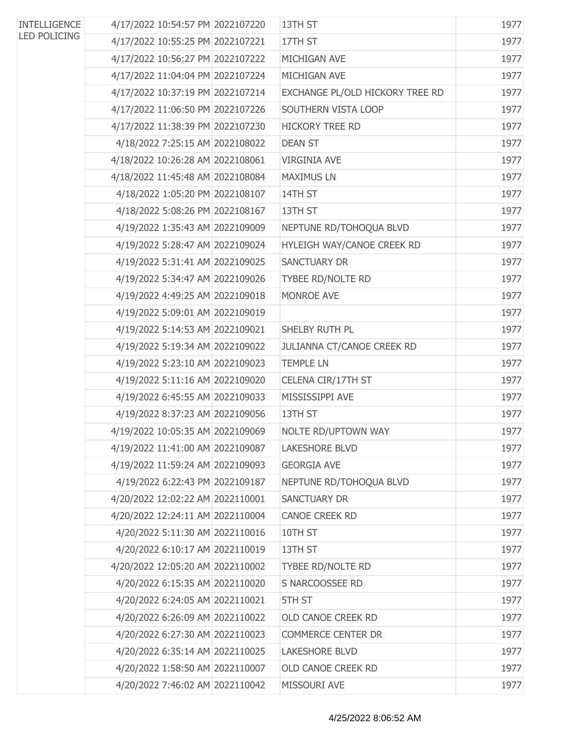| <b>INTELLIGENCE</b><br><b>LED POLICING</b> | 4/17/2022 10:54:57 PM 2022107220 | 13TH ST                           | 1977 |
|--------------------------------------------|----------------------------------|-----------------------------------|------|
|                                            | 4/17/2022 10:55:25 PM 2022107221 | 17TH ST                           | 1977 |
|                                            | 4/17/2022 10:56:27 PM 2022107222 | MICHIGAN AVE                      | 1977 |
|                                            | 4/17/2022 11:04:04 PM 2022107224 | MICHIGAN AVE                      | 1977 |
|                                            | 4/17/2022 10:37:19 PM 2022107214 | EXCHANGE PL/OLD HICKORY TREE RD   | 1977 |
|                                            | 4/17/2022 11:06:50 PM 2022107226 | SOUTHERN VISTA LOOP               | 1977 |
|                                            | 4/17/2022 11:38:39 PM 2022107230 | <b>HICKORY TREE RD</b>            | 1977 |
|                                            | 4/18/2022 7:25:15 AM 2022108022  | <b>DEAN ST</b>                    | 1977 |
|                                            | 4/18/2022 10:26:28 AM 2022108061 | <b>VIRGINIA AVE</b>               | 1977 |
|                                            | 4/18/2022 11:45:48 AM 2022108084 | <b>MAXIMUS LN</b>                 | 1977 |
|                                            | 4/18/2022 1:05:20 PM 2022108107  | 14TH ST                           | 1977 |
|                                            | 4/18/2022 5:08:26 PM 2022108167  | 13TH ST                           | 1977 |
|                                            | 4/19/2022 1:35:43 AM 2022109009  | NEPTUNE RD/TOHOQUA BLVD           | 1977 |
|                                            | 4/19/2022 5:28:47 AM 2022109024  | HYLEIGH WAY/CANOE CREEK RD        | 1977 |
|                                            | 4/19/2022 5:31:41 AM 2022109025  | <b>SANCTUARY DR</b>               | 1977 |
|                                            | 4/19/2022 5:34:47 AM 2022109026  | TYBEE RD/NOLTE RD                 | 1977 |
|                                            | 4/19/2022 4:49:25 AM 2022109018  | MONROE AVE                        | 1977 |
|                                            | 4/19/2022 5:09:01 AM 2022109019  |                                   | 1977 |
|                                            | 4/19/2022 5:14:53 AM 2022109021  | SHELBY RUTH PL                    | 1977 |
|                                            | 4/19/2022 5:19:34 AM 2022109022  | <b>JULIANNA CT/CANOE CREEK RD</b> | 1977 |
|                                            | 4/19/2022 5:23:10 AM 2022109023  | <b>TEMPLE LN</b>                  | 1977 |
|                                            | 4/19/2022 5:11:16 AM 2022109020  | CELENA CIR/17TH ST                | 1977 |
|                                            | 4/19/2022 6:45:55 AM 2022109033  | MISSISSIPPI AVE                   | 1977 |
|                                            | 4/19/2022 8:37:23 AM 2022109056  | 13TH ST                           | 1977 |
|                                            | 4/19/2022 10:05:35 AM 2022109069 | NOLTE RD/UPTOWN WAY               | 1977 |
|                                            | 4/19/2022 11:41:00 AM 2022109087 | <b>LAKESHORE BLVD</b>             | 1977 |
|                                            | 4/19/2022 11:59:24 AM 2022109093 | <b>GEORGIA AVE</b>                | 1977 |
|                                            | 4/19/2022 6:22:43 PM 2022109187  | NEPTUNE RD/TOHOQUA BLVD           | 1977 |
|                                            | 4/20/2022 12:02:22 AM 2022110001 | <b>SANCTUARY DR</b>               | 1977 |
|                                            | 4/20/2022 12:24:11 AM 2022110004 | CANOE CREEK RD                    | 1977 |
|                                            | 4/20/2022 5:11:30 AM 2022110016  | 10TH ST                           | 1977 |
|                                            | 4/20/2022 6:10:17 AM 2022110019  | 13TH ST                           | 1977 |
|                                            | 4/20/2022 12:05:20 AM 2022110002 | TYBEE RD/NOLTE RD                 | 1977 |
|                                            | 4/20/2022 6:15:35 AM 2022110020  | S NARCOOSSEE RD                   | 1977 |
|                                            | 4/20/2022 6:24:05 AM 2022110021  | 5TH ST                            | 1977 |
|                                            | 4/20/2022 6:26:09 AM 2022110022  | OLD CANOE CREEK RD                | 1977 |
|                                            | 4/20/2022 6:27:30 AM 2022110023  | <b>COMMERCE CENTER DR</b>         | 1977 |
|                                            | 4/20/2022 6:35:14 AM 2022110025  | <b>LAKESHORE BLVD</b>             | 1977 |
|                                            | 4/20/2022 1:58:50 AM 2022110007  | OLD CANOE CREEK RD                | 1977 |
|                                            | 4/20/2022 7:46:02 AM 2022110042  | MISSOURI AVE                      | 1977 |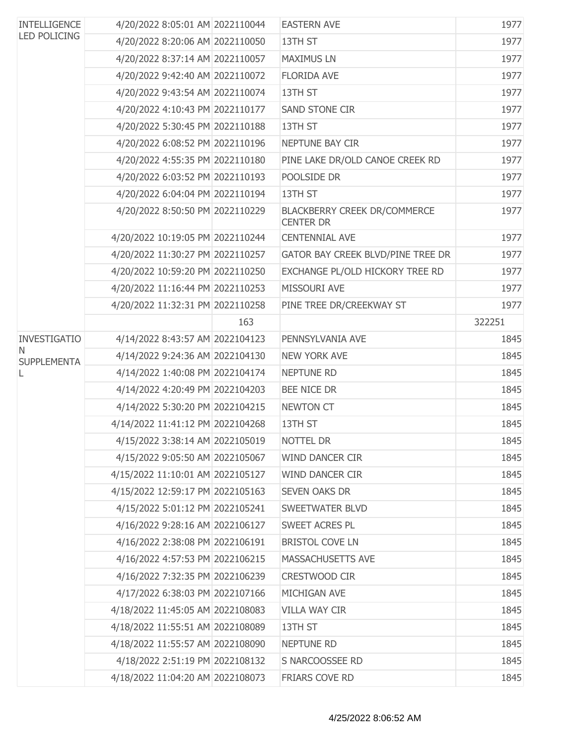| <b>INTELLIGENCE</b><br><b>LED POLICING</b> | 4/20/2022 8:05:01 AM 2022110044  |     | <b>EASTERN AVE</b>                               | 1977   |
|--------------------------------------------|----------------------------------|-----|--------------------------------------------------|--------|
|                                            | 4/20/2022 8:20:06 AM 2022110050  |     | 13TH ST                                          | 1977   |
|                                            | 4/20/2022 8:37:14 AM 2022110057  |     | <b>MAXIMUS LN</b>                                | 1977   |
|                                            | 4/20/2022 9:42:40 AM 2022110072  |     | <b>FLORIDA AVE</b>                               | 1977   |
|                                            | 4/20/2022 9:43:54 AM 2022110074  |     | 13TH ST                                          | 1977   |
|                                            | 4/20/2022 4:10:43 PM 2022110177  |     | <b>SAND STONE CIR</b>                            | 1977   |
|                                            | 4/20/2022 5:30:45 PM 2022110188  |     | 13TH ST                                          | 1977   |
|                                            | 4/20/2022 6:08:52 PM 2022110196  |     | NEPTUNE BAY CIR                                  | 1977   |
|                                            | 4/20/2022 4:55:35 PM 2022110180  |     | PINE LAKE DR/OLD CANOE CREEK RD                  | 1977   |
|                                            | 4/20/2022 6:03:52 PM 2022110193  |     | POOLSIDE DR                                      | 1977   |
|                                            | 4/20/2022 6:04:04 PM 2022110194  |     | 13TH ST                                          | 1977   |
|                                            | 4/20/2022 8:50:50 PM 2022110229  |     | BLACKBERRY CREEK DR/COMMERCE<br><b>CENTER DR</b> | 1977   |
|                                            | 4/20/2022 10:19:05 PM 2022110244 |     | <b>CENTENNIAL AVE</b>                            | 1977   |
|                                            | 4/20/2022 11:30:27 PM 2022110257 |     | GATOR BAY CREEK BLVD/PINE TREE DR                | 1977   |
|                                            | 4/20/2022 10:59:20 PM 2022110250 |     | EXCHANGE PL/OLD HICKORY TREE RD                  | 1977   |
|                                            | 4/20/2022 11:16:44 PM 2022110253 |     | MISSOURI AVE                                     | 1977   |
|                                            | 4/20/2022 11:32:31 PM 2022110258 |     | PINE TREE DR/CREEKWAY ST                         | 1977   |
|                                            |                                  | 163 |                                                  | 322251 |
| <b>INVESTIGATIO</b>                        | 4/14/2022 8:43:57 AM 2022104123  |     | PENNSYLVANIA AVE                                 | 1845   |
| N<br><b>SUPPLEMENTA</b>                    | 4/14/2022 9:24:36 AM 2022104130  |     | <b>NEW YORK AVE</b>                              | 1845   |
|                                            | 4/14/2022 1:40:08 PM 2022104174  |     | <b>NEPTUNE RD</b>                                | 1845   |
|                                            | 4/14/2022 4:20:49 PM 2022104203  |     | <b>BEE NICE DR</b>                               | 1845   |
|                                            | 4/14/2022 5:30:20 PM 2022104215  |     | NEWTON CT                                        | 1845   |
|                                            | 4/14/2022 11:41:12 PM 2022104268 |     | 13TH ST                                          | 1845   |
|                                            | 4/15/2022 3:38:14 AM 2022105019  |     | NOTTEL DR                                        | 1845   |
|                                            | 4/15/2022 9:05:50 AM 2022105067  |     | <b>WIND DANCER CIR</b>                           | 1845   |
|                                            | 4/15/2022 11:10:01 AM 2022105127 |     | <b>WIND DANCER CIR</b>                           | 1845   |
|                                            | 4/15/2022 12:59:17 PM 2022105163 |     | <b>SEVEN OAKS DR</b>                             | 1845   |
|                                            | 4/15/2022 5:01:12 PM 2022105241  |     | <b>SWEETWATER BLVD</b>                           | 1845   |
|                                            | 4/16/2022 9:28:16 AM 2022106127  |     | SWEET ACRES PL                                   | 1845   |
|                                            | 4/16/2022 2:38:08 PM 2022106191  |     | <b>BRISTOL COVE LN</b>                           | 1845   |
|                                            | 4/16/2022 4:57:53 PM 2022106215  |     | MASSACHUSETTS AVE                                | 1845   |
|                                            | 4/16/2022 7:32:35 PM 2022106239  |     | CRESTWOOD CIR                                    | 1845   |
|                                            | 4/17/2022 6:38:03 PM 2022107166  |     | MICHIGAN AVE                                     | 1845   |
|                                            | 4/18/2022 11:45:05 AM 2022108083 |     | <b>VILLA WAY CIR</b>                             | 1845   |
|                                            | 4/18/2022 11:55:51 AM 2022108089 |     | 13TH ST                                          | 1845   |
|                                            | 4/18/2022 11:55:57 AM 2022108090 |     | NEPTUNE RD                                       | 1845   |
|                                            | 4/18/2022 2:51:19 PM 2022108132  |     | S NARCOOSSEE RD                                  | 1845   |
|                                            | 4/18/2022 11:04:20 AM 2022108073 |     | FRIARS COVE RD                                   | 1845   |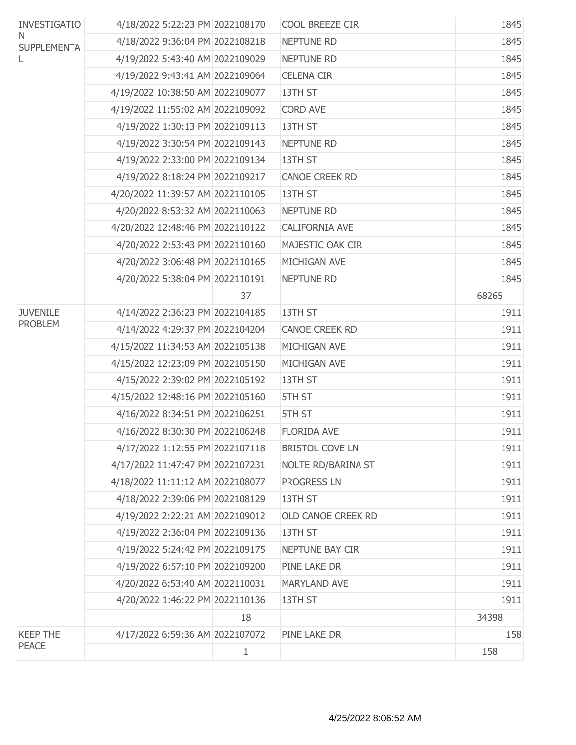| <b>INVESTIGATIO</b><br>N.<br><b>SUPPLEMENTA</b> | 4/18/2022 5:22:23 PM 2022108170  |    | COOL BREEZE CIR        | 1845  |
|-------------------------------------------------|----------------------------------|----|------------------------|-------|
|                                                 | 4/18/2022 9:36:04 PM 2022108218  |    | <b>NEPTUNE RD</b>      | 1845  |
| L                                               | 4/19/2022 5:43:40 AM 2022109029  |    | <b>NEPTUNE RD</b>      | 1845  |
|                                                 | 4/19/2022 9:43:41 AM 2022109064  |    | <b>CELENA CIR</b>      | 1845  |
|                                                 | 4/19/2022 10:38:50 AM 2022109077 |    | 13TH ST                | 1845  |
|                                                 | 4/19/2022 11:55:02 AM 2022109092 |    | <b>CORD AVE</b>        | 1845  |
|                                                 | 4/19/2022 1:30:13 PM 2022109113  |    | 13TH ST                | 1845  |
|                                                 | 4/19/2022 3:30:54 PM 2022109143  |    | <b>NEPTUNE RD</b>      | 1845  |
|                                                 | 4/19/2022 2:33:00 PM 2022109134  |    | 13TH ST                | 1845  |
|                                                 | 4/19/2022 8:18:24 PM 2022109217  |    | <b>CANOE CREEK RD</b>  | 1845  |
|                                                 | 4/20/2022 11:39:57 AM 2022110105 |    | 13TH ST                | 1845  |
|                                                 | 4/20/2022 8:53:32 AM 2022110063  |    | <b>NEPTUNE RD</b>      | 1845  |
|                                                 | 4/20/2022 12:48:46 PM 2022110122 |    | CALIFORNIA AVE         | 1845  |
|                                                 | 4/20/2022 2:53:43 PM 2022110160  |    | MAJESTIC OAK CIR       | 1845  |
|                                                 | 4/20/2022 3:06:48 PM 2022110165  |    | MICHIGAN AVE           | 1845  |
|                                                 | 4/20/2022 5:38:04 PM 2022110191  |    | <b>NEPTUNE RD</b>      | 1845  |
|                                                 |                                  | 37 |                        | 68265 |
| <b>JUVENILE</b>                                 | 4/14/2022 2:36:23 PM 2022104185  |    | 13TH ST                | 1911  |
| <b>PROBLEM</b>                                  | 4/14/2022 4:29:37 PM 2022104204  |    | <b>CANOE CREEK RD</b>  | 1911  |
|                                                 | 4/15/2022 11:34:53 AM 2022105138 |    | MICHIGAN AVE           | 1911  |
|                                                 | 4/15/2022 12:23:09 PM 2022105150 |    | MICHIGAN AVE           | 1911  |
|                                                 | 4/15/2022 2:39:02 PM 2022105192  |    | 13TH ST                | 1911  |
|                                                 | 4/15/2022 12:48:16 PM 2022105160 |    | 5TH ST                 | 1911  |
|                                                 | 4/16/2022 8:34:51 PM 2022106251  |    | 5TH ST                 | 1911  |
|                                                 | 4/16/2022 8:30:30 PM 2022106248  |    | <b>FLORIDA AVE</b>     | 1911  |
|                                                 | 4/17/2022 1:12:55 PM 2022107118  |    | <b>BRISTOL COVE LN</b> | 1911  |
|                                                 | 4/17/2022 11:47:47 PM 2022107231 |    | NOLTE RD/BARINA ST     | 1911  |
|                                                 | 4/18/2022 11:11:12 AM 2022108077 |    | <b>PROGRESS LN</b>     | 1911  |
|                                                 | 4/18/2022 2:39:06 PM 2022108129  |    | 13TH ST                | 1911  |
|                                                 | 4/19/2022 2:22:21 AM 2022109012  |    | OLD CANOE CREEK RD     | 1911  |
|                                                 | 4/19/2022 2:36:04 PM 2022109136  |    | 13TH ST                | 1911  |
|                                                 | 4/19/2022 5:24:42 PM 2022109175  |    | NEPTUNE BAY CIR        | 1911  |
|                                                 | 4/19/2022 6:57:10 PM 2022109200  |    | PINE LAKE DR           | 1911  |
|                                                 | 4/20/2022 6:53:40 AM 2022110031  |    | <b>MARYLAND AVE</b>    | 1911  |
|                                                 | 4/20/2022 1:46:22 PM 2022110136  |    | 13TH ST                | 1911  |
|                                                 |                                  | 18 |                        | 34398 |
| <b>KEEP THE</b>                                 | 4/17/2022 6:59:36 AM 2022107072  |    | PINE LAKE DR           | 158   |
| PEACE                                           |                                  | 1  |                        | 158   |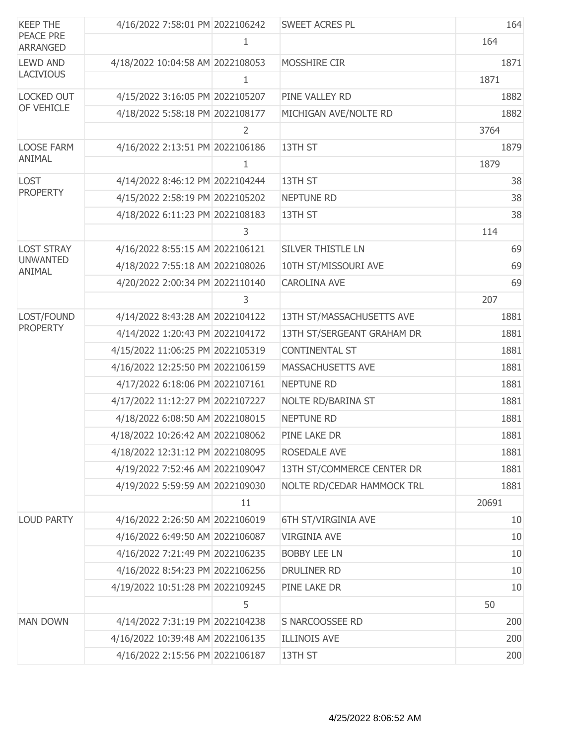| <b>KEEP THE</b>              | 4/16/2022 7:58:01 PM 2022106242  |                | <b>SWEET ACRES PL</b>      | 164   |
|------------------------------|----------------------------------|----------------|----------------------------|-------|
| PEACE PRE<br><b>ARRANGED</b> |                                  | 1              |                            | 164   |
| <b>LEWD AND</b>              | 4/18/2022 10:04:58 AM 2022108053 |                | MOSSHIRE CIR               | 1871  |
| <b>LACIVIOUS</b>             |                                  | 1              |                            | 1871  |
| <b>LOCKED OUT</b>            | 4/15/2022 3:16:05 PM 2022105207  |                | PINE VALLEY RD             | 1882  |
| OF VEHICLE                   | 4/18/2022 5:58:18 PM 2022108177  |                | MICHIGAN AVE/NOLTE RD      | 1882  |
|                              |                                  | $\overline{2}$ |                            | 3764  |
| <b>LOOSE FARM</b>            | 4/16/2022 2:13:51 PM 2022106186  |                | 13TH ST                    | 1879  |
| ANIMAL                       |                                  | 1              |                            | 1879  |
| <b>LOST</b>                  | 4/14/2022 8:46:12 PM 2022104244  |                | 13TH ST                    | 38    |
| <b>PROPERTY</b>              | 4/15/2022 2:58:19 PM 2022105202  |                | <b>NEPTUNE RD</b>          | 38    |
|                              | 4/18/2022 6:11:23 PM 2022108183  |                | 13TH ST                    | 38    |
|                              |                                  | 3              |                            | 114   |
| <b>LOST STRAY</b>            | 4/16/2022 8:55:15 AM 2022106121  |                | <b>SILVER THISTLE LN</b>   | 69    |
| <b>UNWANTED</b><br>ANIMAL    | 4/18/2022 7:55:18 AM 2022108026  |                | 10TH ST/MISSOURI AVE       | 69    |
|                              | 4/20/2022 2:00:34 PM 2022110140  |                | <b>CAROLINA AVE</b>        | 69    |
|                              |                                  | 3              |                            | 207   |
| LOST/FOUND                   | 4/14/2022 8:43:28 AM 2022104122  |                | 13TH ST/MASSACHUSETTS AVE  | 1881  |
| <b>PROPERTY</b>              | 4/14/2022 1:20:43 PM 2022104172  |                | 13TH ST/SERGEANT GRAHAM DR | 1881  |
|                              | 4/15/2022 11:06:25 PM 2022105319 |                | <b>CONTINENTAL ST</b>      | 1881  |
|                              | 4/16/2022 12:25:50 PM 2022106159 |                | MASSACHUSETTS AVE          | 1881  |
|                              | 4/17/2022 6:18:06 PM 2022107161  |                | <b>NEPTUNE RD</b>          | 1881  |
|                              | 4/17/2022 11:12:27 PM 2022107227 |                | NOLTE RD/BARINA ST         | 1881  |
|                              | 4/18/2022 6:08:50 AM 2022108015  |                | <b>NEPTUNE RD</b>          | 1881  |
|                              | 4/18/2022 10:26:42 AM 2022108062 |                | PINE LAKE DR               | 1881  |
|                              | 4/18/2022 12:31:12 PM 2022108095 |                | ROSEDALE AVE               | 1881  |
|                              | 4/19/2022 7:52:46 AM 2022109047  |                | 13TH ST/COMMERCE CENTER DR | 1881  |
|                              | 4/19/2022 5:59:59 AM 2022109030  |                | NOLTE RD/CEDAR HAMMOCK TRL | 1881  |
|                              |                                  | 11             |                            | 20691 |
| <b>LOUD PARTY</b>            | 4/16/2022 2:26:50 AM 2022106019  |                | 6TH ST/VIRGINIA AVE        | 10    |
|                              | 4/16/2022 6:49:50 AM 2022106087  |                | <b>VIRGINIA AVE</b>        | 10    |
|                              | 4/16/2022 7:21:49 PM 2022106235  |                | <b>BOBBY LEE LN</b>        | 10    |
|                              | 4/16/2022 8:54:23 PM 2022106256  |                | DRULINER RD                | 10    |
|                              | 4/19/2022 10:51:28 PM 2022109245 |                | PINE LAKE DR               | 10    |
|                              |                                  | 5              |                            | 50    |
| <b>MAN DOWN</b>              | 4/14/2022 7:31:19 PM 2022104238  |                | S NARCOOSSEE RD            | 200   |
|                              | 4/16/2022 10:39:48 AM 2022106135 |                | <b>ILLINOIS AVE</b>        | 200   |
|                              | 4/16/2022 2:15:56 PM 2022106187  |                | 13TH ST                    | 200   |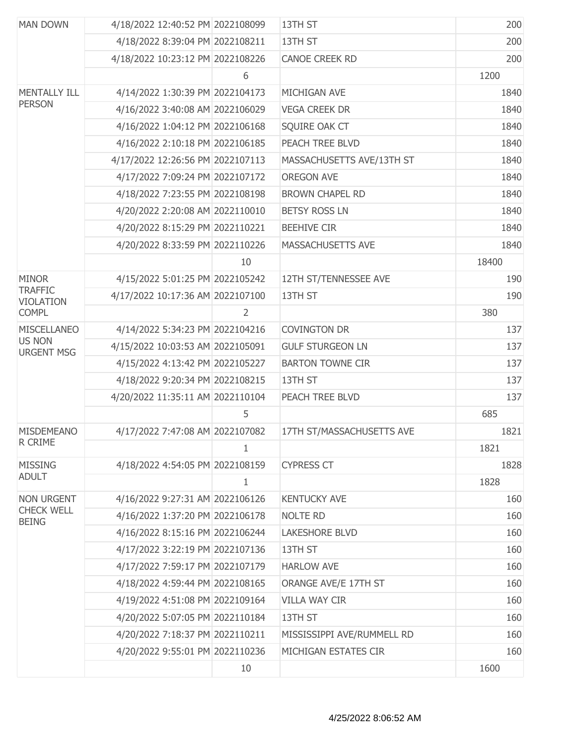| <b>MAN DOWN</b>                    | 4/18/2022 12:40:52 PM 2022108099 |                | 13TH ST                    | 200   |
|------------------------------------|----------------------------------|----------------|----------------------------|-------|
|                                    | 4/18/2022 8:39:04 PM 2022108211  |                | 13TH ST                    | 200   |
|                                    | 4/18/2022 10:23:12 PM 2022108226 |                | <b>CANOE CREEK RD</b>      | 200   |
|                                    |                                  | 6              |                            | 1200  |
| <b>MENTALLY ILL</b>                | 4/14/2022 1:30:39 PM 2022104173  |                | MICHIGAN AVE               | 1840  |
| <b>PERSON</b>                      | 4/16/2022 3:40:08 AM 2022106029  |                | <b>VEGA CREEK DR</b>       | 1840  |
|                                    | 4/16/2022 1:04:12 PM 2022106168  |                | SQUIRE OAK CT              | 1840  |
|                                    | 4/16/2022 2:10:18 PM 2022106185  |                | PEACH TREE BLVD            | 1840  |
|                                    | 4/17/2022 12:26:56 PM 2022107113 |                | MASSACHUSETTS AVE/13TH ST  | 1840  |
|                                    | 4/17/2022 7:09:24 PM 2022107172  |                | <b>OREGON AVE</b>          | 1840  |
|                                    | 4/18/2022 7:23:55 PM 2022108198  |                | <b>BROWN CHAPEL RD</b>     | 1840  |
|                                    | 4/20/2022 2:20:08 AM 2022110010  |                | <b>BETSY ROSS LN</b>       | 1840  |
|                                    | 4/20/2022 8:15:29 PM 2022110221  |                | <b>BEEHIVE CIR</b>         | 1840  |
|                                    | 4/20/2022 8:33:59 PM 2022110226  |                | MASSACHUSETTS AVE          | 1840  |
|                                    |                                  | 10             |                            | 18400 |
| <b>MINOR</b>                       | 4/15/2022 5:01:25 PM 2022105242  |                | 12TH ST/TENNESSEE AVE      | 190   |
| <b>TRAFFIC</b><br><b>VIOLATION</b> | 4/17/2022 10:17:36 AM 2022107100 |                | 13TH ST                    | 190   |
| <b>COMPL</b>                       |                                  | $\overline{2}$ |                            | 380   |
| <b>MISCELLANEO</b>                 | 4/14/2022 5:34:23 PM 2022104216  |                | <b>COVINGTON DR</b>        | 137   |
| <b>US NON</b><br><b>URGENT MSG</b> | 4/15/2022 10:03:53 AM 2022105091 |                | <b>GULF STURGEON LN</b>    | 137   |
|                                    | 4/15/2022 4:13:42 PM 2022105227  |                | <b>BARTON TOWNE CIR</b>    | 137   |
|                                    | 4/18/2022 9:20:34 PM 2022108215  |                | 13TH ST                    | 137   |
|                                    | 4/20/2022 11:35:11 AM 2022110104 |                | PEACH TREE BLVD            | 137   |
|                                    |                                  | 5              |                            | 685   |
| <b>MISDEMEANO</b>                  | 4/17/2022 7:47:08 AM 2022107082  |                | 17TH ST/MASSACHUSETTS AVE  | 1821  |
| R CRIME                            |                                  | 1              |                            | 1821  |
| <b>MISSING</b>                     | 4/18/2022 4:54:05 PM 2022108159  |                | <b>CYPRESS CT</b>          | 1828  |
| <b>ADULT</b>                       |                                  | $\mathbf{1}$   |                            | 1828  |
| <b>NON URGENT</b>                  | 4/16/2022 9:27:31 AM 2022106126  |                | <b>KENTUCKY AVE</b>        | 160   |
| <b>CHECK WELL</b><br><b>BEING</b>  | 4/16/2022 1:37:20 PM 2022106178  |                | <b>NOLTE RD</b>            | 160   |
|                                    | 4/16/2022 8:15:16 PM 2022106244  |                | <b>LAKESHORE BLVD</b>      | 160   |
|                                    | 4/17/2022 3:22:19 PM 2022107136  |                | 13TH ST                    | 160   |
|                                    | 4/17/2022 7:59:17 PM 2022107179  |                | <b>HARLOW AVE</b>          | 160   |
|                                    | 4/18/2022 4:59:44 PM 2022108165  |                | ORANGE AVE/E 17TH ST       | 160   |
|                                    | 4/19/2022 4:51:08 PM 2022109164  |                | <b>VILLA WAY CIR</b>       | 160   |
|                                    | 4/20/2022 5:07:05 PM 2022110184  |                | 13TH ST                    | 160   |
|                                    | 4/20/2022 7:18:37 PM 2022110211  |                | MISSISSIPPI AVE/RUMMELL RD | 160   |
|                                    | 4/20/2022 9:55:01 PM 2022110236  |                | MICHIGAN ESTATES CIR       | 160   |
|                                    |                                  | 10             |                            | 1600  |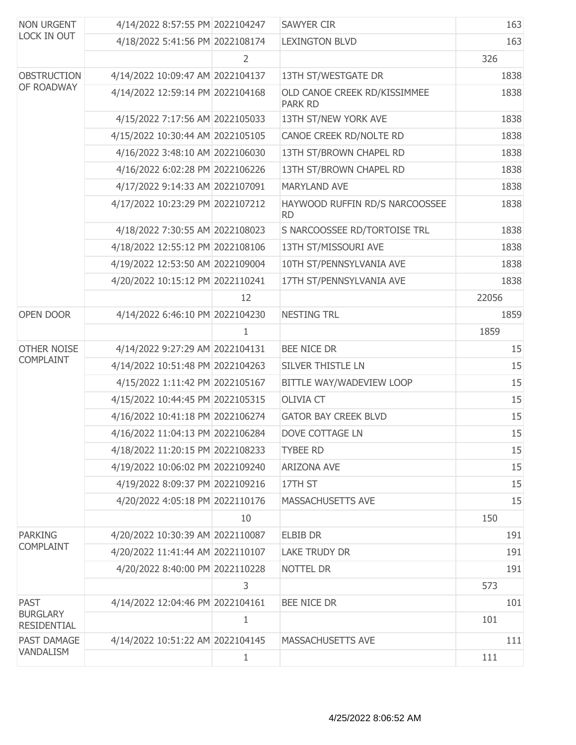| <b>NON URGENT</b><br>LOCK IN OUT      | 4/14/2022 8:57:55 PM 2022104247  |              | <b>SAWYER CIR</b>                              | 163   |
|---------------------------------------|----------------------------------|--------------|------------------------------------------------|-------|
|                                       | 4/18/2022 5:41:56 PM 2022108174  |              | <b>LEXINGTON BLVD</b>                          | 163   |
|                                       |                                  | 2            |                                                | 326   |
| <b>OBSTRUCTION</b>                    | 4/14/2022 10:09:47 AM 2022104137 |              | 13TH ST/WESTGATE DR                            | 1838  |
| OF ROADWAY                            | 4/14/2022 12:59:14 PM 2022104168 |              | OLD CANOE CREEK RD/KISSIMMEE<br><b>PARK RD</b> | 1838  |
|                                       | 4/15/2022 7:17:56 AM 2022105033  |              | 13TH ST/NEW YORK AVE                           | 1838  |
|                                       | 4/15/2022 10:30:44 AM 2022105105 |              | CANOE CREEK RD/NOLTE RD                        | 1838  |
|                                       | 4/16/2022 3:48:10 AM 2022106030  |              | 13TH ST/BROWN CHAPEL RD                        | 1838  |
|                                       | 4/16/2022 6:02:28 PM 2022106226  |              | 13TH ST/BROWN CHAPEL RD                        | 1838  |
|                                       | 4/17/2022 9:14:33 AM 2022107091  |              | <b>MARYLAND AVE</b>                            | 1838  |
|                                       | 4/17/2022 10:23:29 PM 2022107212 |              | HAYWOOD RUFFIN RD/S NARCOOSSEE<br><b>RD</b>    | 1838  |
|                                       | 4/18/2022 7:30:55 AM 2022108023  |              | S NARCOOSSEE RD/TORTOISE TRL                   | 1838  |
|                                       | 4/18/2022 12:55:12 PM 2022108106 |              | 13TH ST/MISSOURI AVE                           | 1838  |
|                                       | 4/19/2022 12:53:50 AM 2022109004 |              | 10TH ST/PENNSYLVANIA AVE                       | 1838  |
|                                       | 4/20/2022 10:15:12 PM 2022110241 |              | 17TH ST/PENNSYLVANIA AVE                       | 1838  |
|                                       |                                  | 12           |                                                | 22056 |
| OPEN DOOR                             | 4/14/2022 6:46:10 PM 2022104230  |              | <b>NESTING TRL</b>                             | 1859  |
|                                       |                                  | 1            |                                                | 1859  |
| <b>OTHER NOISE</b>                    | 4/14/2022 9:27:29 AM 2022104131  |              | BEE NICE DR                                    | 15    |
| <b>COMPLAINT</b>                      | 4/14/2022 10:51:48 PM 2022104263 |              | SILVER THISTLE LN                              | 15    |
|                                       | 4/15/2022 1:11:42 PM 2022105167  |              | BITTLE WAY/WADEVIEW LOOP                       | 15    |
|                                       | 4/15/2022 10:44:45 PM 2022105315 |              | <b>OLIVIA CT</b>                               | 15    |
|                                       | 4/16/2022 10:41:18 PM 2022106274 |              | <b>GATOR BAY CREEK BLVD</b>                    | 15    |
|                                       | 4/16/2022 11:04:13 PM 2022106284 |              | DOVE COTTAGE LN                                | 15    |
|                                       | 4/18/2022 11:20:15 PM 2022108233 |              | <b>TYBEE RD</b>                                | 15    |
|                                       | 4/19/2022 10:06:02 PM 2022109240 |              | <b>ARIZONA AVE</b>                             | 15    |
|                                       | 4/19/2022 8:09:37 PM 2022109216  |              | 17TH ST                                        | 15    |
|                                       | 4/20/2022 4:05:18 PM 2022110176  |              | MASSACHUSETTS AVE                              | 15    |
|                                       |                                  | 10           |                                                | 150   |
| <b>PARKING</b>                        | 4/20/2022 10:30:39 AM 2022110087 |              | <b>ELBIB DR</b>                                | 191   |
| <b>COMPLAINT</b>                      | 4/20/2022 11:41:44 AM 2022110107 |              | <b>LAKE TRUDY DR</b>                           | 191   |
|                                       | 4/20/2022 8:40:00 PM 2022110228  |              | NOTTEL DR                                      | 191   |
|                                       |                                  | 3            |                                                | 573   |
| <b>PAST</b>                           | 4/14/2022 12:04:46 PM 2022104161 |              | <b>BEE NICE DR</b>                             | 101   |
| <b>BURGLARY</b><br><b>RESIDENTIAL</b> |                                  | $\mathbf{1}$ |                                                | 101   |
| PAST DAMAGE                           | 4/14/2022 10:51:22 AM 2022104145 |              | MASSACHUSETTS AVE                              | 111   |
| VANDALISM                             |                                  | $\mathbf 1$  |                                                | 111   |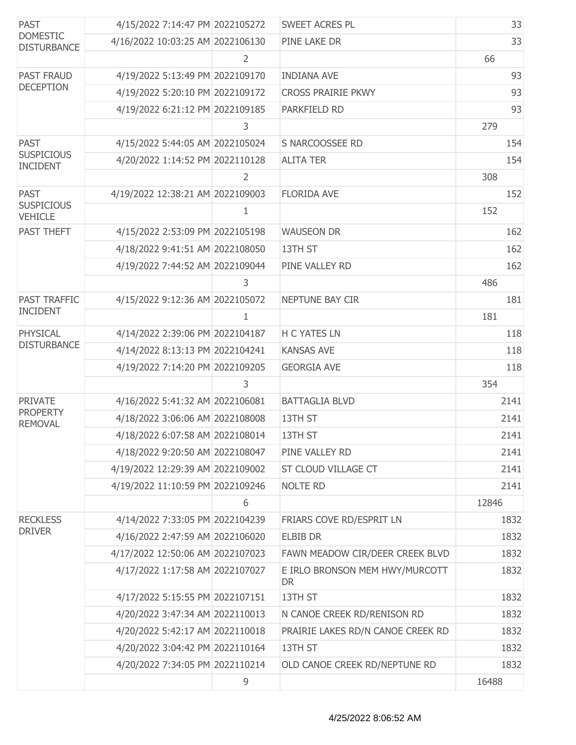| <b>PAST</b><br><b>DOMESTIC</b><br><b>DISTURBANCE</b> | 4/15/2022 7:14:47 PM 2022105272  |                | SWEET ACRES PL                              | 33    |
|------------------------------------------------------|----------------------------------|----------------|---------------------------------------------|-------|
|                                                      | 4/16/2022 10:03:25 AM 2022106130 |                | PINE LAKE DR                                | 33    |
|                                                      |                                  | 2              |                                             | 66    |
| <b>PAST FRAUD</b>                                    | 4/19/2022 5:13:49 PM 2022109170  |                | <b>INDIANA AVE</b>                          | 93    |
| <b>DECEPTION</b>                                     | 4/19/2022 5:20:10 PM 2022109172  |                | <b>CROSS PRAIRIE PKWY</b>                   | 93    |
|                                                      | 4/19/2022 6:21:12 PM 2022109185  |                | PARKFIELD RD                                | 93    |
|                                                      |                                  | 3              |                                             | 279   |
| <b>PAST</b>                                          | 4/15/2022 5:44:05 AM 2022105024  |                | S NARCOOSSEE RD                             | 154   |
| <b>SUSPICIOUS</b><br><b>INCIDENT</b>                 | 4/20/2022 1:14:52 PM 2022110128  |                | <b>ALITA TER</b>                            | 154   |
|                                                      |                                  | $\overline{2}$ |                                             | 308   |
| <b>PAST</b>                                          | 4/19/2022 12:38:21 AM 2022109003 |                | <b>FLORIDA AVE</b>                          | 152   |
| <b>SUSPICIOUS</b><br><b>VEHICLE</b>                  |                                  | 1              |                                             | 152   |
| <b>PAST THEFT</b>                                    | 4/15/2022 2:53:09 PM 2022105198  |                | <b>WAUSEON DR</b>                           | 162   |
|                                                      | 4/18/2022 9:41:51 AM 2022108050  |                | 13TH ST                                     | 162   |
|                                                      | 4/19/2022 7:44:52 AM 2022109044  |                | PINE VALLEY RD                              | 162   |
|                                                      |                                  | 3              |                                             | 486   |
| <b>PAST TRAFFIC</b>                                  | 4/15/2022 9:12:36 AM 2022105072  |                | NEPTUNE BAY CIR                             | 181   |
| <b>INCIDENT</b>                                      |                                  | 1              |                                             | 181   |
| PHYSICAL                                             | 4/14/2022 2:39:06 PM 2022104187  |                | <b>H C YATES LN</b>                         | 118   |
| <b>DISTURBANCE</b>                                   | 4/14/2022 8:13:13 PM 2022104241  |                | <b>KANSAS AVE</b>                           | 118   |
|                                                      | 4/19/2022 7:14:20 PM 2022109205  |                | <b>GEORGIA AVE</b>                          | 118   |
|                                                      |                                  | 3              |                                             | 354   |
| <b>PRIVATE</b>                                       | 4/16/2022 5:41:32 AM 2022106081  |                | <b>BATTAGLIA BLVD</b>                       | 2141  |
| <b>PROPERTY</b><br><b>REMOVAL</b>                    | 4/18/2022 3:06:06 AM 2022108008  |                | 13TH ST                                     | 2141  |
|                                                      | 4/18/2022 6:07:58 AM 2022108014  |                | 13TH ST                                     | 2141  |
|                                                      | 4/18/2022 9:20:50 AM 2022108047  |                | PINE VALLEY RD                              | 2141  |
|                                                      | 4/19/2022 12:29:39 AM 2022109002 |                | ST CLOUD VILLAGE CT                         | 2141  |
|                                                      | 4/19/2022 11:10:59 PM 2022109246 |                | <b>NOLTE RD</b>                             | 2141  |
|                                                      |                                  | 6              |                                             | 12846 |
| <b>RECKLESS</b>                                      | 4/14/2022 7:33:05 PM 2022104239  |                | FRIARS COVE RD/ESPRIT LN                    | 1832  |
| <b>DRIVER</b>                                        | 4/16/2022 2:47:59 AM 2022106020  |                | <b>ELBIB DR</b>                             | 1832  |
|                                                      | 4/17/2022 12:50:06 AM 2022107023 |                | FAWN MEADOW CIR/DEER CREEK BLVD             | 1832  |
|                                                      | 4/17/2022 1:17:58 AM 2022107027  |                | E IRLO BRONSON MEM HWY/MURCOTT<br><b>DR</b> | 1832  |
|                                                      | 4/17/2022 5:15:55 PM 2022107151  |                | 13TH ST                                     | 1832  |
|                                                      | 4/20/2022 3:47:34 AM 2022110013  |                | N CANOE CREEK RD/RENISON RD                 | 1832  |
|                                                      | 4/20/2022 5:42:17 AM 2022110018  |                | PRAIRIE LAKES RD/N CANOE CREEK RD           | 1832  |
|                                                      | 4/20/2022 3:04:42 PM 2022110164  |                | 13TH ST                                     | 1832  |
|                                                      | 4/20/2022 7:34:05 PM 2022110214  |                | OLD CANOE CREEK RD/NEPTUNE RD               | 1832  |
|                                                      |                                  | 9              |                                             | 16488 |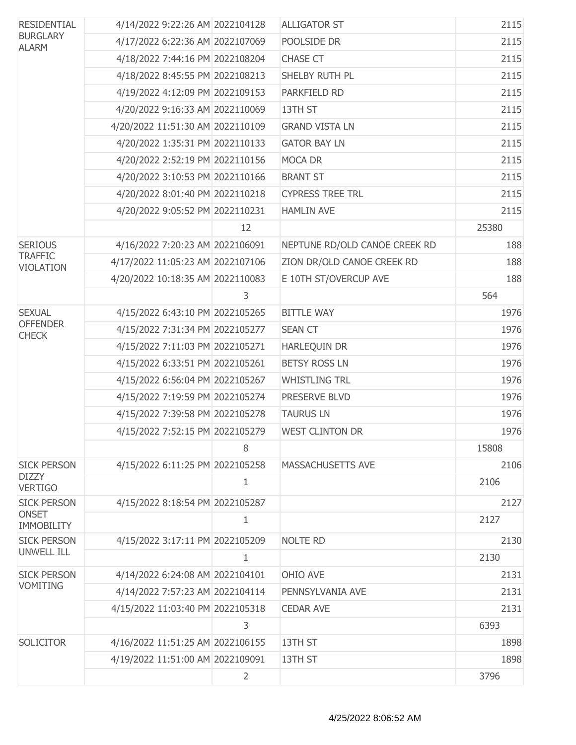| <b>RESIDENTIAL</b><br><b>BURGLARY</b><br><b>ALARM</b> | 4/14/2022 9:22:26 AM 2022104128  |    | <b>ALLIGATOR ST</b>           | 2115  |
|-------------------------------------------------------|----------------------------------|----|-------------------------------|-------|
|                                                       | 4/17/2022 6:22:36 AM 2022107069  |    | POOLSIDE DR                   | 2115  |
|                                                       | 4/18/2022 7:44:16 PM 2022108204  |    | <b>CHASE CT</b>               | 2115  |
|                                                       | 4/18/2022 8:45:55 PM 2022108213  |    | SHELBY RUTH PL                | 2115  |
|                                                       | 4/19/2022 4:12:09 PM 2022109153  |    | PARKFIELD RD                  | 2115  |
|                                                       | 4/20/2022 9:16:33 AM 2022110069  |    | 13TH ST                       | 2115  |
|                                                       | 4/20/2022 11:51:30 AM 2022110109 |    | <b>GRAND VISTA LN</b>         | 2115  |
|                                                       | 4/20/2022 1:35:31 PM 2022110133  |    | <b>GATOR BAY LN</b>           | 2115  |
|                                                       | 4/20/2022 2:52:19 PM 2022110156  |    | MOCA DR                       | 2115  |
|                                                       | 4/20/2022 3:10:53 PM 2022110166  |    | <b>BRANT ST</b>               | 2115  |
|                                                       | 4/20/2022 8:01:40 PM 2022110218  |    | <b>CYPRESS TREE TRL</b>       | 2115  |
|                                                       | 4/20/2022 9:05:52 PM 2022110231  |    | <b>HAMLIN AVE</b>             | 2115  |
|                                                       |                                  | 12 |                               | 25380 |
| <b>SERIOUS</b>                                        | 4/16/2022 7:20:23 AM 2022106091  |    | NEPTUNE RD/OLD CANOE CREEK RD | 188   |
| <b>TRAFFIC</b><br><b>VIOLATION</b>                    | 4/17/2022 11:05:23 AM 2022107106 |    | ZION DR/OLD CANOE CREEK RD    | 188   |
|                                                       | 4/20/2022 10:18:35 AM 2022110083 |    | E 10TH ST/OVERCUP AVE         | 188   |
|                                                       |                                  | 3  |                               | 564   |
| <b>SEXUAL</b>                                         | 4/15/2022 6:43:10 PM 2022105265  |    | <b>BITTLE WAY</b>             | 1976  |
| <b>OFFENDER</b><br><b>CHECK</b>                       | 4/15/2022 7:31:34 PM 2022105277  |    | <b>SEAN CT</b>                | 1976  |
|                                                       | 4/15/2022 7:11:03 PM 2022105271  |    | <b>HARLEQUIN DR</b>           | 1976  |
|                                                       | 4/15/2022 6:33:51 PM 2022105261  |    | <b>BETSY ROSS LN</b>          | 1976  |
|                                                       | 4/15/2022 6:56:04 PM 2022105267  |    | <b>WHISTLING TRL</b>          | 1976  |
|                                                       | 4/15/2022 7:19:59 PM 2022105274  |    | PRESERVE BLVD                 | 1976  |
|                                                       | 4/15/2022 7:39:58 PM 2022105278  |    | <b>TAURUS LN</b>              | 1976  |
|                                                       | 4/15/2022 7:52:15 PM 2022105279  |    | <b>WEST CLINTON DR</b>        | 1976  |
|                                                       |                                  | 8  |                               | 15808 |
| <b>SICK PERSON</b>                                    | 4/15/2022 6:11:25 PM 2022105258  |    | <b>MASSACHUSETTS AVE</b>      | 2106  |
| <b>DIZZY</b><br><b>VERTIGO</b>                        |                                  | 1  |                               | 2106  |
| <b>SICK PERSON</b>                                    | 4/15/2022 8:18:54 PM 2022105287  |    |                               | 2127  |
| <b>ONSET</b><br><b>IMMOBILITY</b>                     |                                  | 1  |                               | 2127  |
| <b>SICK PERSON</b>                                    | 4/15/2022 3:17:11 PM 2022105209  |    | <b>NOLTE RD</b>               | 2130  |
| <b>UNWELL ILL</b>                                     |                                  | 1  |                               | 2130  |
| <b>SICK PERSON</b>                                    | 4/14/2022 6:24:08 AM 2022104101  |    | OHIO AVE                      | 2131  |
| <b>VOMITING</b>                                       | 4/14/2022 7:57:23 AM 2022104114  |    | PENNSYLVANIA AVE              | 2131  |
|                                                       | 4/15/2022 11:03:40 PM 2022105318 |    | <b>CEDAR AVE</b>              | 2131  |
|                                                       |                                  | 3  |                               | 6393  |
| <b>SOLICITOR</b>                                      | 4/16/2022 11:51:25 AM 2022106155 |    | 13TH ST                       | 1898  |
|                                                       | 4/19/2022 11:51:00 AM 2022109091 |    | 13TH ST                       | 1898  |
|                                                       |                                  | 2  |                               | 3796  |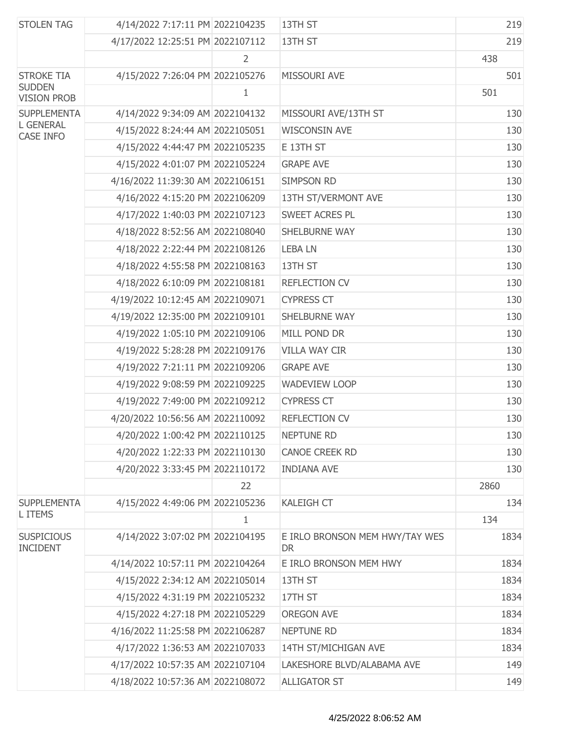| <b>STOLEN TAG</b>                    | 4/14/2022 7:17:11 PM 2022104235  |              | 13TH ST                                     | 219  |
|--------------------------------------|----------------------------------|--------------|---------------------------------------------|------|
|                                      | 4/17/2022 12:25:51 PM 2022107112 |              | 13TH ST                                     | 219  |
|                                      |                                  | 2            |                                             | 438  |
| <b>STROKE TIA</b>                    | 4/15/2022 7:26:04 PM 2022105276  |              | MISSOURI AVE                                | 501  |
| <b>SUDDEN</b><br><b>VISION PROB</b>  |                                  | 1            |                                             | 501  |
| <b>SUPPLEMENTA</b>                   | 4/14/2022 9:34:09 AM 2022104132  |              | MISSOURI AVE/13TH ST                        | 130  |
| <b>L GENERAL</b><br>CASE INFO        | 4/15/2022 8:24:44 AM 2022105051  |              | <b>WISCONSIN AVE</b>                        | 130  |
|                                      | 4/15/2022 4:44:47 PM 2022105235  |              | E 13TH ST                                   | 130  |
|                                      | 4/15/2022 4:01:07 PM 2022105224  |              | <b>GRAPE AVE</b>                            | 130  |
|                                      | 4/16/2022 11:39:30 AM 2022106151 |              | <b>SIMPSON RD</b>                           | 130  |
|                                      | 4/16/2022 4:15:20 PM 2022106209  |              | 13TH ST/VERMONT AVE                         | 130  |
|                                      | 4/17/2022 1:40:03 PM 2022107123  |              | SWEET ACRES PL                              | 130  |
|                                      | 4/18/2022 8:52:56 AM 2022108040  |              | SHELBURNE WAY                               | 130  |
|                                      | 4/18/2022 2:22:44 PM 2022108126  |              | <b>LEBALN</b>                               | 130  |
|                                      | 4/18/2022 4:55:58 PM 2022108163  |              | 13TH ST                                     | 130  |
|                                      | 4/18/2022 6:10:09 PM 2022108181  |              | <b>REFLECTION CV</b>                        | 130  |
|                                      | 4/19/2022 10:12:45 AM 2022109071 |              | <b>CYPRESS CT</b>                           | 130  |
|                                      | 4/19/2022 12:35:00 PM 2022109101 |              | SHELBURNE WAY                               | 130  |
|                                      | 4/19/2022 1:05:10 PM 2022109106  |              | MILL POND DR                                | 130  |
|                                      | 4/19/2022 5:28:28 PM 2022109176  |              | <b>VILLA WAY CIR</b>                        | 130  |
|                                      | 4/19/2022 7:21:11 PM 2022109206  |              | <b>GRAPE AVE</b>                            | 130  |
|                                      | 4/19/2022 9:08:59 PM 2022109225  |              | <b>WADEVIEW LOOP</b>                        | 130  |
|                                      | 4/19/2022 7:49:00 PM 2022109212  |              | <b>CYPRESS CT</b>                           | 130  |
|                                      | 4/20/2022 10:56:56 AM 2022110092 |              | <b>REFLECTION CV</b>                        | 130  |
|                                      | 4/20/2022 1:00:42 PM 2022110125  |              | <b>NEPTUNE RD</b>                           | 130  |
|                                      | 4/20/2022 1:22:33 PM 2022110130  |              | <b>CANOE CREEK RD</b>                       | 130  |
|                                      | 4/20/2022 3:33:45 PM 2022110172  |              | <b>INDIANA AVE</b>                          | 130  |
|                                      |                                  | 22           |                                             | 2860 |
| <b>SUPPLEMENTA</b>                   | 4/15/2022 4:49:06 PM 2022105236  |              | <b>KALEIGH CT</b>                           | 134  |
| L ITEMS                              |                                  | $\mathbf{1}$ |                                             | 134  |
| <b>SUSPICIOUS</b><br><b>INCIDENT</b> | 4/14/2022 3:07:02 PM 2022104195  |              | E IRLO BRONSON MEM HWY/TAY WES<br><b>DR</b> | 1834 |
|                                      | 4/14/2022 10:57:11 PM 2022104264 |              | E IRLO BRONSON MEM HWY                      | 1834 |
|                                      | 4/15/2022 2:34:12 AM 2022105014  |              | 13TH ST                                     | 1834 |
|                                      | 4/15/2022 4:31:19 PM 2022105232  |              | 17TH ST                                     | 1834 |
|                                      | 4/15/2022 4:27:18 PM 2022105229  |              | <b>OREGON AVE</b>                           | 1834 |
|                                      | 4/16/2022 11:25:58 PM 2022106287 |              | <b>NEPTUNE RD</b>                           | 1834 |
|                                      | 4/17/2022 1:36:53 AM 2022107033  |              | 14TH ST/MICHIGAN AVE                        | 1834 |
|                                      | 4/17/2022 10:57:35 AM 2022107104 |              | LAKESHORE BLVD/ALABAMA AVE                  | 149  |
|                                      | 4/18/2022 10:57:36 AM 2022108072 |              | <b>ALLIGATOR ST</b>                         | 149  |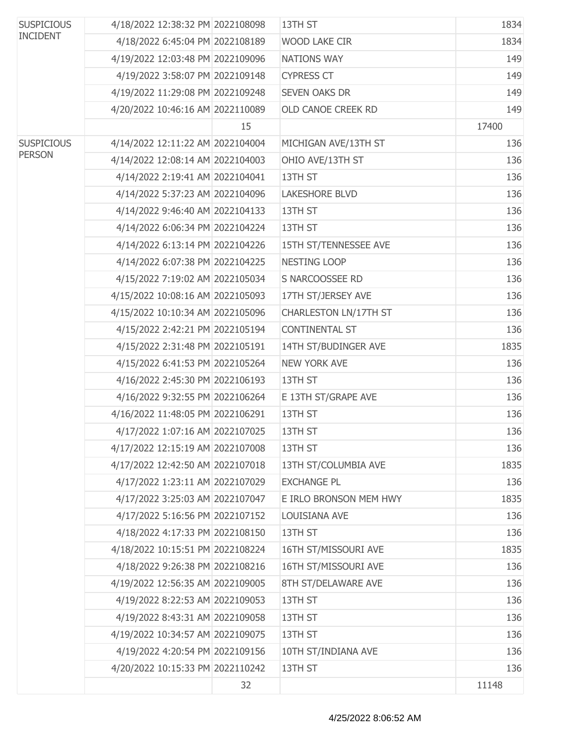| <b>SUSPICIOUS</b> | 4/18/2022 12:38:32 PM 2022108098 |    | 13TH ST                | 1834  |
|-------------------|----------------------------------|----|------------------------|-------|
| <b>INCIDENT</b>   | 4/18/2022 6:45:04 PM 2022108189  |    | WOOD LAKE CIR          | 1834  |
|                   | 4/19/2022 12:03:48 PM 2022109096 |    | NATIONS WAY            | 149   |
|                   | 4/19/2022 3:58:07 PM 2022109148  |    | <b>CYPRESS CT</b>      | 149   |
|                   | 4/19/2022 11:29:08 PM 2022109248 |    | <b>SEVEN OAKS DR</b>   | 149   |
|                   | 4/20/2022 10:46:16 AM 2022110089 |    | OLD CANOE CREEK RD     | 149   |
|                   |                                  | 15 |                        | 17400 |
| <b>SUSPICIOUS</b> | 4/14/2022 12:11:22 AM 2022104004 |    | MICHIGAN AVE/13TH ST   | 136   |
| <b>PERSON</b>     | 4/14/2022 12:08:14 AM 2022104003 |    | OHIO AVE/13TH ST       | 136   |
|                   | 4/14/2022 2:19:41 AM 2022104041  |    | 13TH ST                | 136   |
|                   | 4/14/2022 5:37:23 AM 2022104096  |    | <b>LAKESHORE BLVD</b>  | 136   |
|                   | 4/14/2022 9:46:40 AM 2022104133  |    | 13TH ST                | 136   |
|                   | 4/14/2022 6:06:34 PM 2022104224  |    | 13TH ST                | 136   |
|                   | 4/14/2022 6:13:14 PM 2022104226  |    | 15TH ST/TENNESSEE AVE  | 136   |
|                   | 4/14/2022 6:07:38 PM 2022104225  |    | NESTING LOOP           | 136   |
|                   | 4/15/2022 7:19:02 AM 2022105034  |    | S NARCOOSSEE RD        | 136   |
|                   | 4/15/2022 10:08:16 AM 2022105093 |    | 17TH ST/JERSEY AVE     | 136   |
|                   | 4/15/2022 10:10:34 AM 2022105096 |    | CHARLESTON LN/17TH ST  | 136   |
|                   | 4/15/2022 2:42:21 PM 2022105194  |    | <b>CONTINENTAL ST</b>  | 136   |
|                   | 4/15/2022 2:31:48 PM 2022105191  |    | 14TH ST/BUDINGER AVE   | 1835  |
|                   | 4/15/2022 6:41:53 PM 2022105264  |    | <b>NEW YORK AVE</b>    | 136   |
|                   | 4/16/2022 2:45:30 PM 2022106193  |    | 13TH ST                | 136   |
|                   | 4/16/2022 9:32:55 PM 2022106264  |    | E 13TH ST/GRAPE AVE    | 136   |
|                   | 4/16/2022 11:48:05 PM 2022106291 |    | 13TH ST                | 136   |
|                   | 4/17/2022 1:07:16 AM 2022107025  |    | 13TH ST                | 136   |
|                   | 4/17/2022 12:15:19 AM 2022107008 |    | 13TH ST                | 136   |
|                   | 4/17/2022 12:42:50 AM 2022107018 |    | 13TH ST/COLUMBIA AVE   | 1835  |
|                   | 4/17/2022 1:23:11 AM 2022107029  |    | <b>EXCHANGE PL</b>     | 136   |
|                   | 4/17/2022 3:25:03 AM 2022107047  |    | E IRLO BRONSON MEM HWY | 1835  |
|                   | 4/17/2022 5:16:56 PM 2022107152  |    | LOUISIANA AVE          | 136   |
|                   | 4/18/2022 4:17:33 PM 2022108150  |    | 13TH ST                | 136   |
|                   | 4/18/2022 10:15:51 PM 2022108224 |    | 16TH ST/MISSOURI AVE   | 1835  |
|                   | 4/18/2022 9:26:38 PM 2022108216  |    | 16TH ST/MISSOURI AVE   | 136   |
|                   | 4/19/2022 12:56:35 AM 2022109005 |    | 8TH ST/DELAWARE AVE    | 136   |
|                   | 4/19/2022 8:22:53 AM 2022109053  |    | 13TH ST                | 136   |
|                   | 4/19/2022 8:43:31 AM 2022109058  |    | 13TH ST                | 136   |
|                   | 4/19/2022 10:34:57 AM 2022109075 |    | 13TH ST                | 136   |
|                   | 4/19/2022 4:20:54 PM 2022109156  |    | 10TH ST/INDIANA AVE    | 136   |
|                   | 4/20/2022 10:15:33 PM 2022110242 |    | 13TH ST                | 136   |
|                   |                                  | 32 |                        | 11148 |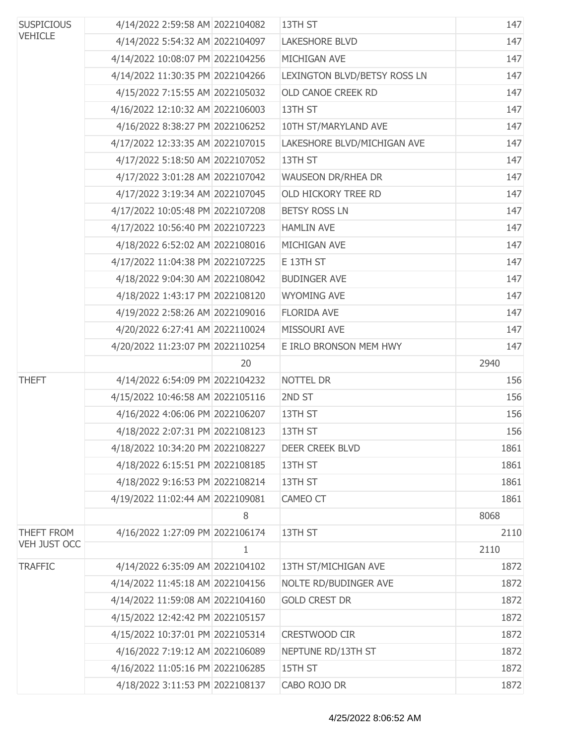| <b>SUSPICIOUS</b><br><b>VEHICLE</b> | 4/14/2022 2:59:58 AM 2022104082  |              | 13TH ST                      | 147  |
|-------------------------------------|----------------------------------|--------------|------------------------------|------|
|                                     | 4/14/2022 5:54:32 AM 2022104097  |              | <b>LAKESHORE BLVD</b>        | 147  |
|                                     | 4/14/2022 10:08:07 PM 2022104256 |              | MICHIGAN AVE                 | 147  |
|                                     | 4/14/2022 11:30:35 PM 2022104266 |              | LEXINGTON BLVD/BETSY ROSS LN | 147  |
|                                     | 4/15/2022 7:15:55 AM 2022105032  |              | OLD CANOE CREEK RD           | 147  |
|                                     | 4/16/2022 12:10:32 AM 2022106003 |              | 13TH ST                      | 147  |
|                                     | 4/16/2022 8:38:27 PM 2022106252  |              | 10TH ST/MARYLAND AVE         | 147  |
|                                     | 4/17/2022 12:33:35 AM 2022107015 |              | LAKESHORE BLVD/MICHIGAN AVE  | 147  |
|                                     | 4/17/2022 5:18:50 AM 2022107052  |              | 13TH ST                      | 147  |
|                                     | 4/17/2022 3:01:28 AM 2022107042  |              | <b>WAUSEON DR/RHEA DR</b>    | 147  |
|                                     | 4/17/2022 3:19:34 AM 2022107045  |              | OLD HICKORY TREE RD          | 147  |
|                                     | 4/17/2022 10:05:48 PM 2022107208 |              | <b>BETSY ROSS LN</b>         | 147  |
|                                     | 4/17/2022 10:56:40 PM 2022107223 |              | <b>HAMLIN AVE</b>            | 147  |
|                                     | 4/18/2022 6:52:02 AM 2022108016  |              | MICHIGAN AVE                 | 147  |
|                                     | 4/17/2022 11:04:38 PM 2022107225 |              | E 13TH ST                    | 147  |
|                                     | 4/18/2022 9:04:30 AM 2022108042  |              | <b>BUDINGER AVE</b>          | 147  |
|                                     | 4/18/2022 1:43:17 PM 2022108120  |              | <b>WYOMING AVE</b>           | 147  |
|                                     | 4/19/2022 2:58:26 AM 2022109016  |              | <b>FLORIDA AVE</b>           | 147  |
|                                     | 4/20/2022 6:27:41 AM 2022110024  |              | MISSOURI AVE                 | 147  |
|                                     | 4/20/2022 11:23:07 PM 2022110254 |              | E IRLO BRONSON MEM HWY       | 147  |
|                                     |                                  | 20           |                              | 2940 |
| <b>THEFT</b>                        | 4/14/2022 6:54:09 PM 2022104232  |              | NOTTEL DR                    | 156  |
|                                     | 4/15/2022 10:46:58 AM 2022105116 |              | 2ND ST                       | 156  |
|                                     | 4/16/2022 4:06:06 PM 2022106207  |              | 13TH ST                      | 156  |
|                                     | 4/18/2022 2:07:31 PM 2022108123  |              | 13TH ST                      | 156  |
|                                     | 4/18/2022 10:34:20 PM 2022108227 |              | DEER CREEK BLVD              | 1861 |
|                                     | 4/18/2022 6:15:51 PM 2022108185  |              | 13TH ST                      | 1861 |
|                                     | 4/18/2022 9:16:53 PM 2022108214  |              | 13TH ST                      | 1861 |
|                                     | 4/19/2022 11:02:44 AM 2022109081 |              | CAMEO CT                     | 1861 |
|                                     |                                  | 8            |                              | 8068 |
| THEFT FROM                          | 4/16/2022 1:27:09 PM 2022106174  |              | 13TH ST                      | 2110 |
| <b>VEH JUST OCC</b>                 |                                  | $\mathbf{1}$ |                              | 2110 |
| <b>TRAFFIC</b>                      | 4/14/2022 6:35:09 AM 2022104102  |              | 13TH ST/MICHIGAN AVE         | 1872 |
|                                     | 4/14/2022 11:45:18 AM 2022104156 |              | NOLTE RD/BUDINGER AVE        | 1872 |
|                                     | 4/14/2022 11:59:08 AM 2022104160 |              | <b>GOLD CREST DR</b>         | 1872 |
|                                     | 4/15/2022 12:42:42 PM 2022105157 |              |                              | 1872 |
|                                     | 4/15/2022 10:37:01 PM 2022105314 |              | CRESTWOOD CIR                | 1872 |
|                                     | 4/16/2022 7:19:12 AM 2022106089  |              | NEPTUNE RD/13TH ST           | 1872 |
|                                     | 4/16/2022 11:05:16 PM 2022106285 |              | 15TH ST                      | 1872 |
|                                     | 4/18/2022 3:11:53 PM 2022108137  |              | CABO ROJO DR                 | 1872 |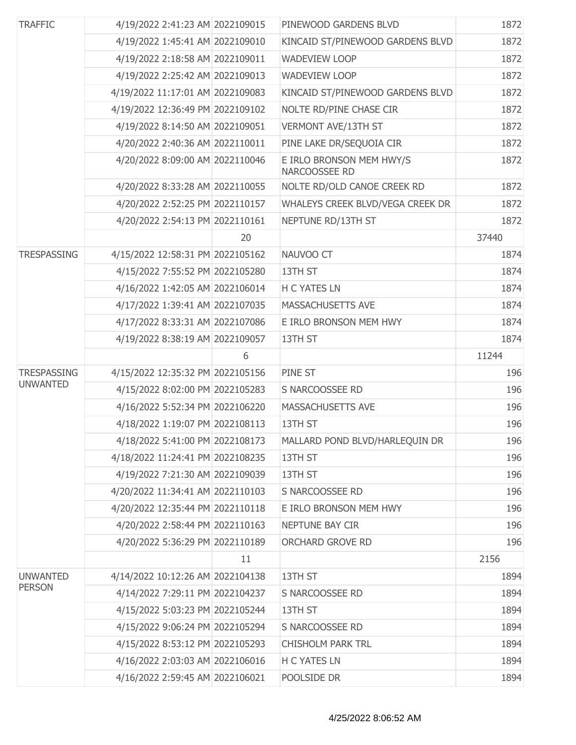| <b>TRAFFIC</b>     | 4/19/2022 2:41:23 AM 2022109015  |    | PINEWOOD GARDENS BLVD                     | 1872  |
|--------------------|----------------------------------|----|-------------------------------------------|-------|
|                    | 4/19/2022 1:45:41 AM 2022109010  |    | KINCAID ST/PINEWOOD GARDENS BLVD          | 1872  |
|                    | 4/19/2022 2:18:58 AM 2022109011  |    | <b>WADEVIEW LOOP</b>                      | 1872  |
|                    | 4/19/2022 2:25:42 AM 2022109013  |    | <b>WADEVIEW LOOP</b>                      | 1872  |
|                    | 4/19/2022 11:17:01 AM 2022109083 |    | KINCAID ST/PINEWOOD GARDENS BLVD          | 1872  |
|                    | 4/19/2022 12:36:49 PM 2022109102 |    | NOLTE RD/PINE CHASE CIR                   | 1872  |
|                    | 4/19/2022 8:14:50 AM 2022109051  |    | <b>VERMONT AVE/13TH ST</b>                | 1872  |
|                    | 4/20/2022 2:40:36 AM 2022110011  |    | PINE LAKE DR/SEQUOIA CIR                  | 1872  |
|                    | 4/20/2022 8:09:00 AM 2022110046  |    | E IRLO BRONSON MEM HWY/S<br>NARCOOSSEE RD | 1872  |
|                    | 4/20/2022 8:33:28 AM 2022110055  |    | NOLTE RD/OLD CANOE CREEK RD               | 1872  |
|                    | 4/20/2022 2:52:25 PM 2022110157  |    | WHALEYS CREEK BLVD/VEGA CREEK DR          | 1872  |
|                    | 4/20/2022 2:54:13 PM 2022110161  |    | NEPTUNE RD/13TH ST                        | 1872  |
|                    |                                  | 20 |                                           | 37440 |
| <b>TRESPASSING</b> | 4/15/2022 12:58:31 PM 2022105162 |    | NAUVOO CT                                 | 1874  |
|                    | 4/15/2022 7:55:52 PM 2022105280  |    | 13TH ST                                   | 1874  |
|                    | 4/16/2022 1:42:05 AM 2022106014  |    | H C YATES LN                              | 1874  |
|                    | 4/17/2022 1:39:41 AM 2022107035  |    | MASSACHUSETTS AVE                         | 1874  |
|                    | 4/17/2022 8:33:31 AM 2022107086  |    | E IRLO BRONSON MEM HWY                    | 1874  |
|                    | 4/19/2022 8:38:19 AM 2022109057  |    | 13TH ST                                   | 1874  |
|                    |                                  | 6  |                                           | 11244 |
| <b>TRESPASSING</b> | 4/15/2022 12:35:32 PM 2022105156 |    | PINE ST                                   | 196   |
| <b>UNWANTED</b>    | 4/15/2022 8:02:00 PM 2022105283  |    | S NARCOOSSEE RD                           | 196   |
|                    | 4/16/2022 5:52:34 PM 2022106220  |    | MASSACHUSETTS AVE                         | 196   |
|                    | 4/18/2022 1:19:07 PM 2022108113  |    | 13TH ST                                   | 196   |
|                    | 4/18/2022 5:41:00 PM 2022108173  |    | MALLARD POND BLVD/HARLEQUIN DR            | 196   |
|                    | 4/18/2022 11:24:41 PM 2022108235 |    | 13TH ST                                   | 196   |
|                    | 4/19/2022 7:21:30 AM 2022109039  |    | 13TH ST                                   | 196   |
|                    | 4/20/2022 11:34:41 AM 2022110103 |    | S NARCOOSSEE RD                           | 196   |
|                    | 4/20/2022 12:35:44 PM 2022110118 |    | E IRLO BRONSON MEM HWY                    | 196   |
|                    | 4/20/2022 2:58:44 PM 2022110163  |    | NEPTUNE BAY CIR                           | 196   |
|                    | 4/20/2022 5:36:29 PM 2022110189  |    | ORCHARD GROVE RD                          | 196   |
|                    |                                  | 11 |                                           | 2156  |
| <b>UNWANTED</b>    | 4/14/2022 10:12:26 AM 2022104138 |    | 13TH ST                                   | 1894  |
| <b>PERSON</b>      | 4/14/2022 7:29:11 PM 2022104237  |    | S NARCOOSSEE RD                           | 1894  |
|                    | 4/15/2022 5:03:23 PM 2022105244  |    | 13TH ST                                   | 1894  |
|                    | 4/15/2022 9:06:24 PM 2022105294  |    | S NARCOOSSEE RD                           | 1894  |
|                    | 4/15/2022 8:53:12 PM 2022105293  |    | <b>CHISHOLM PARK TRL</b>                  | 1894  |
|                    | 4/16/2022 2:03:03 AM 2022106016  |    | H C YATES LN                              | 1894  |
|                    | 4/16/2022 2:59:45 AM 2022106021  |    | POOLSIDE DR                               | 1894  |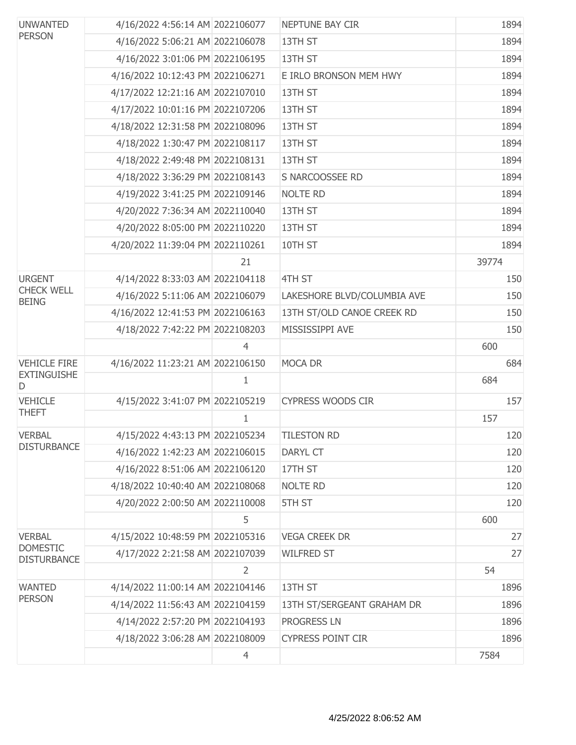| <b>UNWANTED</b><br><b>PERSON</b>      | 4/16/2022 4:56:14 AM 2022106077  |                | NEPTUNE BAY CIR             | 1894  |
|---------------------------------------|----------------------------------|----------------|-----------------------------|-------|
|                                       | 4/16/2022 5:06:21 AM 2022106078  |                | 13TH ST                     | 1894  |
|                                       | 4/16/2022 3:01:06 PM 2022106195  |                | 13TH ST                     | 1894  |
|                                       | 4/16/2022 10:12:43 PM 2022106271 |                | E IRLO BRONSON MEM HWY      | 1894  |
|                                       | 4/17/2022 12:21:16 AM 2022107010 |                | 13TH ST                     | 1894  |
|                                       | 4/17/2022 10:01:16 PM 2022107206 |                | 13TH ST                     | 1894  |
|                                       | 4/18/2022 12:31:58 PM 2022108096 |                | 13TH ST                     | 1894  |
|                                       | 4/18/2022 1:30:47 PM 2022108117  |                | 13TH ST                     | 1894  |
|                                       | 4/18/2022 2:49:48 PM 2022108131  |                | 13TH ST                     | 1894  |
|                                       | 4/18/2022 3:36:29 PM 2022108143  |                | S NARCOOSSEE RD             | 1894  |
|                                       | 4/19/2022 3:41:25 PM 2022109146  |                | <b>NOLTE RD</b>             | 1894  |
|                                       | 4/20/2022 7:36:34 AM 2022110040  |                | 13TH ST                     | 1894  |
|                                       | 4/20/2022 8:05:00 PM 2022110220  |                | 13TH ST                     | 1894  |
|                                       | 4/20/2022 11:39:04 PM 2022110261 |                | 10TH ST                     | 1894  |
|                                       |                                  | 21             |                             | 39774 |
| <b>URGENT</b>                         | 4/14/2022 8:33:03 AM 2022104118  |                | 4TH ST                      | 150   |
| <b>CHECK WELL</b><br><b>BEING</b>     | 4/16/2022 5:11:06 AM 2022106079  |                | LAKESHORE BLVD/COLUMBIA AVE | 150   |
|                                       | 4/16/2022 12:41:53 PM 2022106163 |                | 13TH ST/OLD CANOE CREEK RD  | 150   |
|                                       | 4/18/2022 7:42:22 PM 2022108203  |                | MISSISSIPPI AVE             | 150   |
|                                       |                                  | $\overline{4}$ |                             | 600   |
| <b>VEHICLE FIRE</b>                   | 4/16/2022 11:23:21 AM 2022106150 |                | MOCA DR                     | 684   |
| <b>EXTINGUISHE</b><br>D               |                                  | 1              |                             | 684   |
| <b>VEHICLE</b>                        | 4/15/2022 3:41:07 PM 2022105219  |                | <b>CYPRESS WOODS CIR</b>    | 157   |
| <b>THEFT</b>                          |                                  | $\mathbf{1}$   |                             | 157   |
| <b>VERBAL</b>                         | 4/15/2022 4:43:13 PM 2022105234  |                | <b>TILESTON RD</b>          | 120   |
| <b>DISTURBANCE</b>                    | 4/16/2022 1:42:23 AM 2022106015  |                | <b>DARYL CT</b>             | 120   |
|                                       | 4/16/2022 8:51:06 AM 2022106120  |                | 17TH ST                     | 120   |
|                                       | 4/18/2022 10:40:40 AM 2022108068 |                | <b>NOLTE RD</b>             | 120   |
|                                       | 4/20/2022 2:00:50 AM 2022110008  |                | 5TH ST                      | 120   |
|                                       |                                  | 5              |                             | 600   |
| <b>VERBAL</b>                         | 4/15/2022 10:48:59 PM 2022105316 |                | <b>VEGA CREEK DR</b>        | 27    |
| <b>DOMESTIC</b><br><b>DISTURBANCE</b> | 4/17/2022 2:21:58 AM 2022107039  |                | <b>WILFRED ST</b>           | 27    |
|                                       |                                  | $\overline{2}$ |                             | 54    |
| <b>WANTED</b>                         | 4/14/2022 11:00:14 AM 2022104146 |                | 13TH ST                     | 1896  |
| <b>PERSON</b>                         | 4/14/2022 11:56:43 AM 2022104159 |                | 13TH ST/SERGEANT GRAHAM DR  | 1896  |
|                                       | 4/14/2022 2:57:20 PM 2022104193  |                | <b>PROGRESS LN</b>          | 1896  |
|                                       | 4/18/2022 3:06:28 AM 2022108009  |                | <b>CYPRESS POINT CIR</b>    | 1896  |
|                                       |                                  | $\overline{4}$ |                             | 7584  |